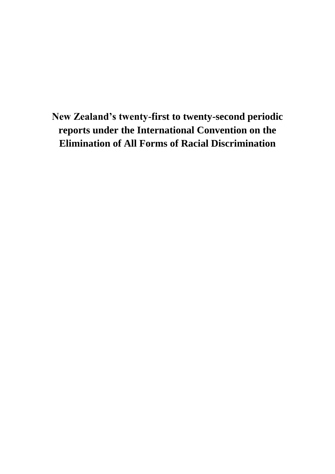**New Zealand's twenty-first to twenty-second periodic reports under the International Convention on the Elimination of All Forms of Racial Discrimination**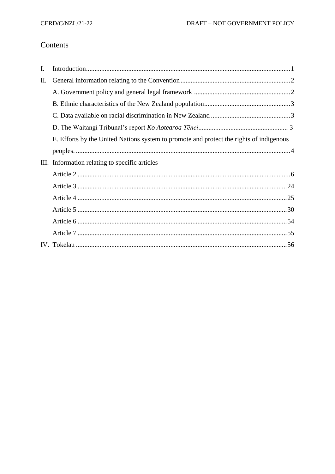# Contents

| $\mathbf{I}$ . |                                                                                         |
|----------------|-----------------------------------------------------------------------------------------|
| Π.             |                                                                                         |
|                |                                                                                         |
|                |                                                                                         |
|                |                                                                                         |
|                |                                                                                         |
|                | E. Efforts by the United Nations system to promote and protect the rights of indigenous |
|                |                                                                                         |
|                | III. Information relating to specific articles                                          |
|                |                                                                                         |
|                |                                                                                         |
|                |                                                                                         |
|                |                                                                                         |
|                |                                                                                         |
|                |                                                                                         |
|                |                                                                                         |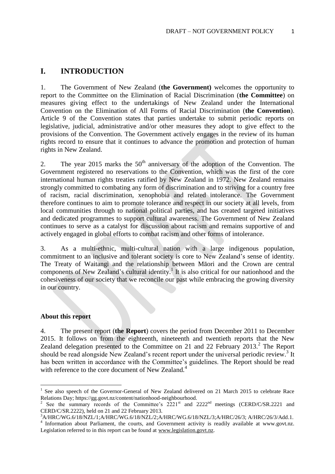## **I. INTRODUCTION**

1. The Government of New Zealand (**the Government)** welcomes the opportunity to report to the Committee on the Elimination of Racial Discrimination (**the Committee**) on measures giving effect to the undertakings of New Zealand under the International Convention on the Elimination of All Forms of Racial Discrimination (**the Convention**). Article 9 of the Convention states that parties undertake to submit periodic reports on legislative, judicial, administrative and/or other measures they adopt to give effect to the provisions of the Convention. The Government actively engages in the review of its human rights record to ensure that it continues to advance the promotion and protection of human rights in New Zealand.

2. The year 2015 marks the  $50<sup>th</sup>$  anniversary of the adoption of the Convention. The Government registered no reservations to the Convention, which was the first of the core international human rights treaties ratified by New Zealand in 1972. New Zealand remains strongly committed to combating any form of discrimination and to striving for a country free of racism, racial discrimination, xenophobia and related intolerance. The Government therefore continues to aim to promote tolerance and respect in our society at all levels, from local communities through to national political parties, and has created targeted initiatives and dedicated programmes to support cultural awareness. The Government of New Zealand continues to serve as a catalyst for discussion about racism and remains supportive of and actively engaged in global efforts to combat racism and other forms of intolerance.

3. As a multi-ethnic, multi-cultural nation with a large indigenous population, commitment to an inclusive and tolerant society is core to New Zealand's sense of identity. The Treaty of Waitangi and the relationship between Māori and the Crown are central components of New Zealand's cultural identity.<sup>1</sup> It is also critical for our nationhood and the cohesiveness of our society that we reconcile our past while embracing the growing diversity in our country.

#### **About this report**

**.** 

4. The present report (**the Report**) covers the period from December 2011 to December 2015. It follows on from the eighteenth, nineteenth and twentieth reports that the New Zealand delegation presented to the Committee on 21 and 22 February 2013.<sup>2</sup> The Report should be read alongside New Zealand's recent report under the universal periodic review.<sup>3</sup> It has been written in accordance with the Committee's guidelines. The Report should be read with reference to the core document of New Zealand.<sup>4</sup>

<sup>1</sup> See also speech of the Governor-General of New Zealand delivered on 21 March 2015 to celebrate Race Relations Day; https://gg.govt.nz/content/nationhood-neighbourhood.

<sup>&</sup>lt;sup>2</sup> See the summary records of the Committee's 2221<sup>st</sup> and 2222<sup>nd</sup> meetings (CERD/C/SR.2221 and CERD/C/SR.2222), held on 21 and 22 February 2013.

<sup>3</sup>A/HRC/WG.6/18/NZL/1;A/HRC/WG.6/18/NZL/2;A/HRC/WG.6/18/NZL/3;A/HRC/26/3; A/HRC/26/3/Add.1.

<sup>&</sup>lt;sup>4</sup> Information about Parliament, the courts, and Government activity is readily available at www.govt.nz. Legislation referred to in this report can be found at [www.legislation.govt.nz.](http://www.legislation.govt.nz/)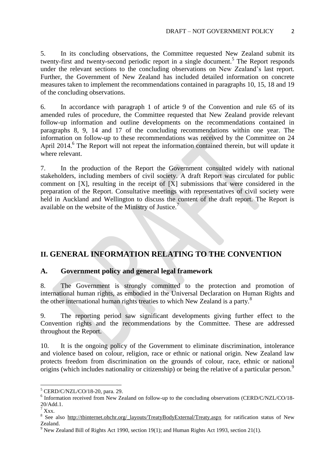5. In its concluding observations, the Committee requested New Zealand submit its twenty-first and twenty-second periodic report in a single document.<sup>5</sup> The Report responds under the relevant sections to the concluding observations on New Zealand's last report. Further, the Government of New Zealand has included detailed information on concrete measures taken to implement the recommendations contained in paragraphs 10, 15, 18 and 19 of the concluding observations.

6. In accordance with paragraph 1 of article 9 of the Convention and rule 65 of its amended rules of procedure, the Committee requested that New Zealand provide relevant follow-up information and outline developments on the recommendations contained in paragraphs 8, 9, 14 and 17 of the concluding recommendations within one year. The information on follow-up to these recommendations was received by the Committee on 24 April 2014. 6 The Report will not repeat the information contained therein, but will update it where relevant.

7. In the production of the Report the Government consulted widely with national stakeholders, including members of civil society. A draft Report was circulated for public comment on [X], resulting in the receipt of [X] submissions that were considered in the preparation of the Report. Consultative meetings with representatives of civil society were held in Auckland and Wellington to discuss the content of the draft report. The Report is available on the website of the Ministry of Justice.<sup>7</sup>

# **II. GENERAL INFORMATION RELATING TO THE CONVENTION**

### **A. Government policy and general legal framework**

8. The Government is strongly committed to the protection and promotion of international human rights, as embodied in the Universal Declaration on Human Rights and the other international human rights treaties to which New Zealand is a party.<sup>8</sup>

9. The reporting period saw significant developments giving further effect to the Convention rights and the recommendations by the Committee. These are addressed throughout the Report.

10. It is the ongoing policy of the Government to eliminate discrimination, intolerance and violence based on colour, religion, race or ethnic or national origin. New Zealand law protects freedom from discrimination on the grounds of colour, race, ethnic or national origins (which includes nationality or citizenship) or being the relative of a particular person.<sup>9</sup>

**<sup>.</sup>** <sup>5</sup> CERD/C/NZL/CO/18-20, para. 29.

<sup>&</sup>lt;sup>6</sup> Information received from New Zealand on follow-up to the concluding observations (CERD/C/NZL/CO/18-20/Add.1.

 $\overline{7}$  Xxx.

<sup>&</sup>lt;sup>8</sup> See also [http://tbinternet.ohchr.org/\\_layouts/TreatyBodyExternal/Treaty.aspx](http://tbinternet.ohchr.org/_layouts/TreatyBodyExternal/Treaty.aspx) for ratification status of New Zealand.

<sup>&</sup>lt;sup>9</sup> New Zealand Bill of Rights Act 1990, section 19(1); and Human Rights Act 1993, section 21(1).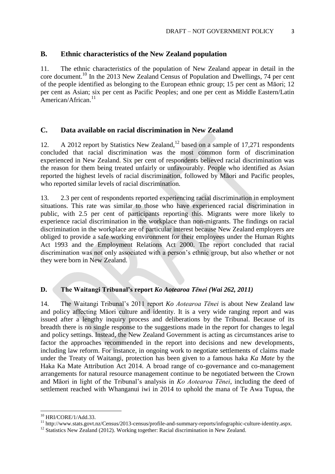### **B. Ethnic characteristics of the New Zealand population**

11. The ethnic characteristics of the population of New Zealand appear in detail in the core document.<sup>10</sup> In the 2013 New Zealand Census of Population and Dwellings, 74 per cent of the people identified as belonging to the European ethnic group; 15 per cent as Māori; 12 per cent as Asian; six per cent as Pacific Peoples; and one per cent as Middle Eastern/Latin American/African.<sup>11</sup>

### **C. Data available on racial discrimination in New Zealand**

12. A 2012 report by Statistics New Zealand, <sup>12</sup> based on a sample of 17,271 respondents concluded that racial discrimination was the most common form of discrimination experienced in New Zealand. Six per cent of respondents believed racial discrimination was the reason for them being treated unfairly or unfavourably. People who identified as Asian reported the highest levels of racial discrimination, followed by Māori and Pacific peoples, who reported similar levels of racial discrimination.

13. 2.3 per cent of respondents reported experiencing racial discrimination in employment situations. This rate was similar to those who have experienced racial discrimination in public, with 2.5 per cent of participants reporting this. Migrants were more likely to experience racial discrimination in the workplace than non-migrants. The findings on racial discrimination in the workplace are of particular interest because New Zealand employers are obliged to provide a safe working environment for their employees under the Human Rights Act 1993 and the Employment Relations Act 2000. The report concluded that racial discrimination was not only associated with a person's ethnic group, but also whether or not they were born in New Zealand.

### **D. The Waitangi Tribunal's report** *Ko Aotearoa Tēnei (Wai 262, 2011)*

14. The Waitangi Tribunal's 2011 report *Ko Aotearoa Tēnei* is about New Zealand law and policy affecting Māori culture and identity. It is a very wide ranging report and was issued after a lengthy inquiry process and deliberations by the Tribunal. Because of its breadth there is no single response to the suggestions made in the report for changes to legal and policy settings. Instead, the New Zealand Government is acting as circumstances arise to factor the approaches recommended in the report into decisions and new developments, including law reform. For instance, in ongoing work to negotiate settlements of claims made under the Treaty of Waitangi, protection has been given to a famous haka *Ka Mate* by the Haka Ka Mate Attribution Act 2014. A broad range of co-governance and co-management arrangements for natural resource management continue to be negotiated between the Crown and Māori in light of the Tribunal's analysis in *Ko Aotearoa Tēnei*, including the deed of settlement reached with Whanganui iwi in 2014 to uphold the mana of Te Awa Tupua, the

1

<sup>10</sup> HRI/CORE/1/Add.33.

<sup>11</sup> http://www.stats.govt.nz/Census/2013-census/profile-and-summary-reports/infographic-culture-identity.aspx.

<sup>&</sup>lt;sup>12</sup> Statistics New Zealand (2012). Working together: Racial discrimination in New Zealand.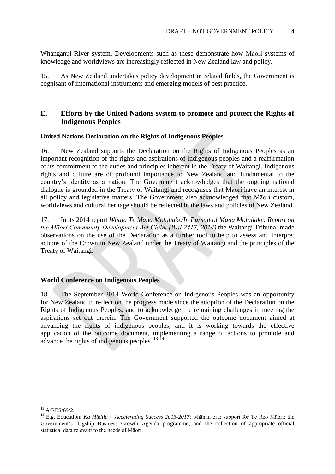Whanganui River system. Developments such as these demonstrate how Māori systems of knowledge and worldviews are increasingly reflected in New Zealand law and policy.

15. As New Zealand undertakes policy development in related fields, the Government is cognisant of international instruments and emerging models of best practice.

### **E. Efforts by the United Nations system to promote and protect the Rights of Indigenous Peoples**

#### **United Nations Declaration on the Rights of Indigenous Peoples**

16. New Zealand supports the Declaration on the Rights of Indigenous Peoples as an important recognition of the rights and aspirations of indigenous peoples and a reaffirmation of its commitment to the duties and principles inherent in the Treaty of Waitangi. Indigenous rights and culture are of profound importance to New Zealand and fundamental to the country's identity as a nation. The Government acknowledges that the ongoing national dialogue is grounded in the Treaty of Waitangi and recognises that Māori have an interest in all policy and legislative matters. The Government also acknowledged that Māori custom, worldviews and cultural heritage should be reflected in the laws and policies of New Zealand.

17. In its 2014 report *Whaia Te Mana Motuhake/In Pursuit of Mana Motuhake: Report on the Māori Community Development Act Claim (Wai 2417, 2014)* the Waitangi Tribunal made observations on the use of the Declaration as a further tool to help to assess and interpret actions of the Crown in New Zealand under the Treaty of Waitangi and the principles of the Treaty of Waitangi.

### **World Conference on Indigenous Peoples**

18. The September 2014 World Conference on Indigenous Peoples was an opportunity for New Zealand to reflect on the progress made since the adoption of the Declaration on the Rights of Indigenous Peoples, and to acknowledge the remaining challenges in meeting the aspirations set out therein. The Government supported the outcome document aimed at advancing the rights of indigenous peoples, and it is working towards the effective application of the outcome document, implementing a range of actions to promote and advance the rights of indigenous peoples. <sup>13 14</sup>

<sup>13</sup> A/RES/69/2.

<sup>14</sup> E.g. Education: *Ka Hikitia – Accelerating Success 2013-2017*; whānau ora; support for Te Reo Māori; the Government's flagship Business Growth Agenda programme; and the collection of appropriate official statistical data relevant to the needs of Māori.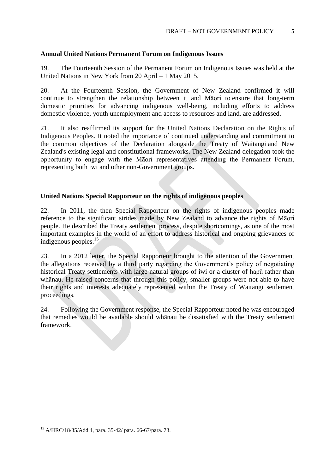#### **Annual United Nations Permanent Forum on Indigenous Issues**

19. The Fourteenth Session of the Permanent Forum on Indigenous Issues was held at the United Nations in New York from 20 April – 1 May 2015.

20. At the Fourteenth Session, the Government of New Zealand confirmed it will continue to strengthen the relationship between it and Māori to ensure that long-term domestic priorities for advancing indigenous well-being, including efforts to address domestic violence, youth unemployment and access to resources and land, are addressed.

21. It also reaffirmed its support for the United Nations Declaration on the Rights of Indigenous Peoples. It noted the importance of continued understanding and commitment to the common objectives of the Declaration alongside the Treaty of Waitangi and New Zealand's existing legal and constitutional frameworks. The New Zealand delegation took the opportunity to engage with the Māori representatives attending the Permanent Forum, representing both iwi and other non-Government groups.

### **United Nations Special Rapporteur on the rights of indigenous peoples**

22. In 2011, the then Special Rapporteur on the rights of indigenous peoples made reference to the significant strides made by New Zealand to advance the rights of Māori people. He described the Treaty settlement process, despite shortcomings, as one of the most important examples in the world of an effort to address historical and ongoing grievances of indigenous peoples.<sup>15</sup>

23. In a 2012 letter, the Special Rapporteur brought to the attention of the Government the allegations received by a third party regarding the Government's policy of negotiating historical Treaty settlements with large natural groups of iwi or a cluster of hapū rather than whānau. He raised concerns that through this policy, smaller groups were not able to have their rights and interests adequately represented within the Treaty of Waitangi settlement proceedings.

24. Following the Government response, the Special Rapporteur noted he was encouraged that remedies would be available should whānau be dissatisfied with the Treaty settlement framework.

<sup>15</sup> A/HRC/18/35/Add.4, para. 35-42/ para. 66-67/para. 73.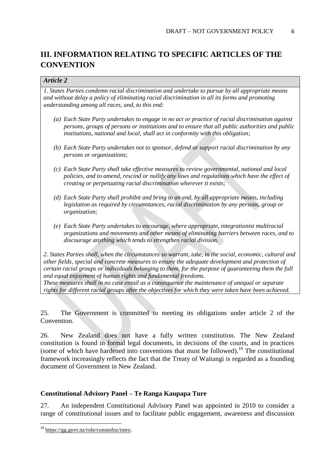# **III. INFORMATION RELATING TO SPECIFIC ARTICLES OF THE CONVENTION**

### *Article 2*

*1. States Parties condemn racial discrimination and undertake to pursue by all appropriate means and without delay a policy of eliminating racial discrimination in all its forms and promoting understanding among all races, and, to this end:* 

- *(a) Each State Party undertakes to engage in no act or practice of racial discrimination against persons, groups of persons or institutions and to ensure that all public authorities and public institutions, national and local, shall act in conformity with this obligation;*
- *(b) Each State Party undertakes not to sponsor, defend or support racial discrimination by any persons or organizations;*
- *(c) Each State Party shall take effective measures to review governmental, national and local policies, and to amend, rescind or nullify any laws and regulations which have the effect of creating or perpetuating racial discrimination wherever it exists;*
- *(d) Each State Party shall prohibit and bring to an end, by all appropriate means, including legislation as required by circumstances, racial discrimination by any persons, group or organization;*
- *(e) Each State Party undertakes to encourage, where appropriate, integrationist multiracial organizations and movements and other means of eliminating barriers between races, and to discourage anything which tends to strengthen racial division.*

*2. States Parties shall, when the circumstances so warrant, take, in the social, economic, cultural and other fields, special and concrete measures to ensure the adequate development and protection of certain racial groups or individuals belonging to them, for the purpose of guaranteeing them the full and equal enjoyment of human rights and fundamental freedoms.* 

*These measures shall in no case entail as a consequence the maintenance of unequal or separate rights for different racial groups after the objectives for which they were taken have been achieved.*

25. The Government is committed to meeting its obligations under article 2 of the Convention.

26. New Zealand does not have a fully written constitution. The New Zealand constitution is found in formal legal documents, in decisions of the courts, and in practices (some of which have hardened into conventions that must be followed).<sup>16</sup> The constitutional framework increasingly reflects the fact that the Treaty of Waitangi is regarded as a founding document of Government in New Zealand.

### **Constitutional Advisory Panel – Te Ranga Kaupapa Ture**

27. An independent Constitutional Advisory Panel was appointed in 2010 to consider a range of constitutional issues and to facilitate public engagement, awareness and discussion

<sup>16</sup> [https://gg.govt.nz/role/constofnz/intro.](https://gg.govt.nz/role/constofnz/intro)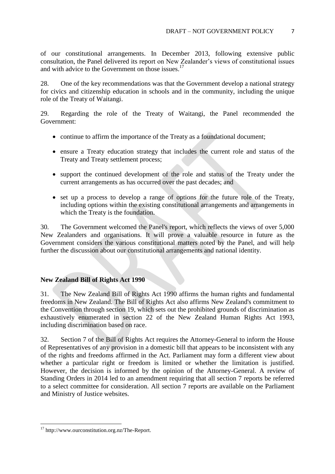of our constitutional arrangements. In December 2013, following extensive public consultation, the Panel delivered its report on New Zealander's views of constitutional issues and with advice to the Government on those issues.<sup>17</sup>

28. One of the key recommendations was that the Government develop a national strategy for civics and citizenship education in schools and in the community, including the unique role of the Treaty of Waitangi.

29. Regarding the role of the Treaty of Waitangi, the Panel recommended the Government:

- continue to affirm the importance of the Treaty as a foundational document;
- ensure a Treaty education strategy that includes the current role and status of the Treaty and Treaty settlement process;
- support the continued development of the role and status of the Treaty under the current arrangements as has occurred over the past decades; and
- set up a process to develop a range of options for the future role of the Treaty, including options within the existing constitutional arrangements and arrangements in which the Treaty is the foundation.

30. The Government welcomed the Panel's report, which reflects the views of over 5,000 New Zealanders and organisations. It will prove a valuable resource in future as the Government considers the various constitutional matters noted by the Panel, and will help further the discussion about our constitutional arrangements and national identity.

### **New Zealand Bill of Rights Act 1990**

31. The New Zealand Bill of Rights Act 1990 affirms the human rights and fundamental freedoms in New Zealand. The Bill of Rights Act also affirms New Zealand's commitment to the Convention through section 19, which sets out the prohibited grounds of discrimination as exhaustively enumerated in section 22 of the New Zealand Human Rights Act 1993, including discrimination based on race.

32. Section 7 of the Bill of Rights Act requires the Attorney-General to inform the House of Representatives of any provision in a domestic bill that appears to be inconsistent with any of the rights and freedoms affirmed in the Act. Parliament may form a different view about whether a particular right or freedom is limited or whether the limitation is justified. However, the decision is informed by the opinion of the Attorney-General. A review of Standing Orders in 2014 led to an amendment requiring that all section 7 reports be referred to a select committee for consideration. All section 7 reports are available on the Parliament and Ministry of Justice websites.

<sup>&</sup>lt;sup>17</sup> http://www.ourconstitution.org.nz/The-Report.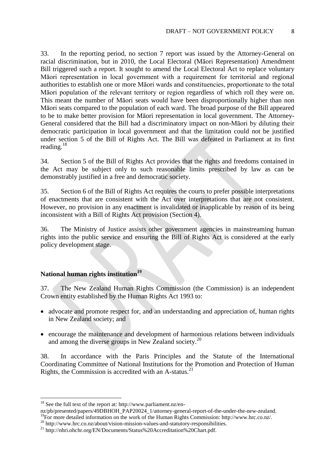33. In the reporting period, no section 7 report was issued by the Attorney-General on racial discrimination, but in 2010, the Local Electoral (Māori Representation) Amendment Bill triggered such a report. It sought to amend the Local Electoral Act to replace voluntary Māori representation in local government with a requirement for territorial and regional authorities to establish one or more Māori wards and constituencies, proportionate to the total Māori population of the relevant territory or region regardless of which roll they were on. This meant the number of Māori seats would have been disproportionally higher than non Māori seats compared to the population of each ward. The broad purpose of the Bill appeared to be to make better provision for Māori representation in local government. The Attorney-General considered that the Bill had a discriminatory impact on non-Māori by diluting their democratic participation in local government and that the limitation could not be justified under section 5 of the Bill of Rights Act. The Bill was defeated in Parliament at its first reading.<sup>18</sup>

34. Section 5 of the Bill of Rights Act provides that the rights and freedoms contained in the Act may be subject only to such reasonable limits prescribed by law as can be demonstrably justified in a free and democratic society.

35. Section 6 of the Bill of Rights Act requires the courts to prefer possible interpretations of enactments that are consistent with the Act over interpretations that are not consistent. However, no provision in any enactment is invalidated or inapplicable by reason of its being inconsistent with a Bill of Rights Act provision (Section 4).

36. The Ministry of Justice assists other government agencies in mainstreaming human rights into the public service and ensuring the Bill of Rights Act is considered at the early policy development stage.

# **National human rights institution<sup>19</sup>**

37. The New Zealand Human Rights Commission (the Commission) is an independent Crown entity established by the Human Rights Act 1993 to:

- advocate and promote respect for, and an understanding and appreciation of, human rights in New Zealand society; and
- encourage the maintenance and development of harmonious relations between individuals and among the diverse groups in New Zealand society.<sup>20</sup>

38. In accordance with the Paris Principles and the Statute of the International Coordinating Committee of National Institutions for the Promotion and Protection of Human Rights, the Commission is accredited with an  $A$ -status.<sup>21</sup>

 $18$  See the full text of the report at: http://www.parliament.nz/en-

nz/pb/presented/papers/49DBHOH\_PAP20024\_1/attorney-general-report-of-the-under-the-new-zealand.

<sup>&</sup>lt;sup>19</sup>For more detailed information on the work of the Human Rights Commission: http://www.hrc.co.nz/.

<sup>&</sup>lt;sup>20</sup> http://www.hrc.co.nz/about/vision-mission-values-and-statutory-responsibilities.

<sup>21</sup> http://nhri.ohchr.org/EN/Documents/Status%20Accreditation%20Chart.pdf.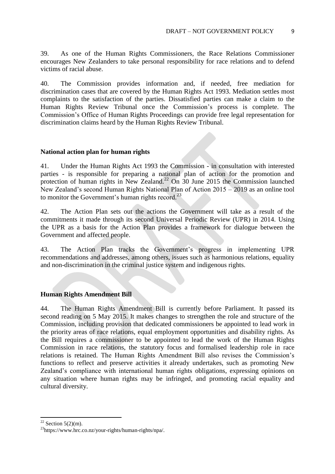39. As one of the Human Rights Commissioners, the Race Relations Commissioner encourages New Zealanders to take personal responsibility for race relations and to defend victims of racial abuse.

40. The Commission provides information and, if needed, free mediation for discrimination cases that are covered by the Human Rights Act 1993. Mediation settles most complaints to the satisfaction of the parties. Dissatisfied parties can make a claim to the Human Rights Review Tribunal once the Commission's process is complete. The Commission's Office of Human Rights Proceedings can provide free legal representation for discrimination claims heard by the Human Rights Review Tribunal.

### **National action plan for human rights**

41. Under the Human Rights Act 1993 the Commission - in consultation with interested parties - is responsible for preparing a national plan of action for the promotion and protection of human rights in New Zealand.<sup>22</sup> On  $30$  June 2015 the Commission launched New Zealand's second Human Rights National Plan of Action 2015 – 2019 as an online tool to monitor the Government's human rights record. $^{23}$ 

42. The Action Plan sets out the actions the Government will take as a result of the commitments it made through its second Universal Periodic Review (UPR) in 2014. Using the UPR as a basis for the Action Plan provides a framework for dialogue between the Government and affected people.

43. The Action Plan tracks the Government's progress in implementing UPR recommendations and addresses, among others, issues such as harmonious relations, equality and non-discrimination in the criminal justice system and indigenous rights.

### **Human Rights Amendment Bill**

44. The Human Rights Amendment Bill is currently before Parliament. It passed its second reading on 5 May 2015. It makes changes to strengthen the role and structure of the Commission, including provision that dedicated commissioners be appointed to lead work in the priority areas of race relations, equal employment opportunities and disability rights. As the Bill requires a commissioner to be appointed to lead the work of the Human Rights Commission in race relations, the statutory focus and formalised leadership role in race relations is retained. The Human Rights Amendment Bill also revises the Commission's functions to reflect and preserve activities it already undertakes, such as promoting New Zealand's compliance with international human rights obligations, expressing opinions on any situation where human rights may be infringed, and promoting racial equality and cultural diversity.

 $22$  Section 5(2)(m).

<sup>23</sup>https://www.hrc.co.nz/your-rights/human-rights/npa/.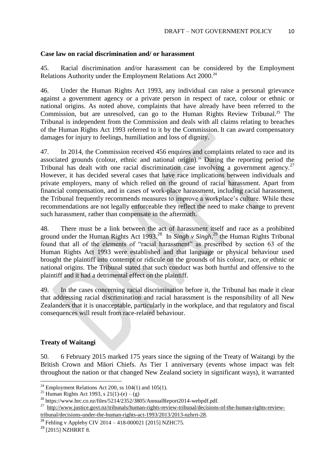#### **Case law on racial discrimination and/ or harassment**

45. Racial discrimination and/or harassment can be considered by the Employment Relations Authority under the Employment Relations Act 2000.<sup>24</sup>

46. Under the Human Rights Act 1993, any individual can raise a personal grievance against a government agency or a private person in respect of race, colour or ethnic or national origins. As noted above, complaints that have already have been referred to the Commission, but are unresolved, can go to the Human Rights Review Tribunal.<sup>25</sup> The Tribunal is independent from the Commission and deals with all claims relating to breaches of the Human Rights Act 1993 referred to it by the Commission. It can award compensatory damages for injury to feelings, humiliation and loss of dignity.

47. In 2014, the Commission received 456 enquires and complaints related to race and its associated grounds (colour, ethnic and national origin). <sup>26</sup> During the reporting period the Tribunal has dealt with one racial discrimination case involving a government agency.<sup>27</sup> However, it has decided several cases that have race implications between individuals and private employers, many of which relied on the ground of racial harassment. Apart from financial compensation, and in cases of work-place harassment, including racial harassment, the Tribunal frequently recommends measures to improve a workplace's culture. While these recommendations are not legally enforceable they reflect the need to make change to prevent such harassment, rather than compensate in the aftermath.

48. There must be a link between the act of harassment itself and race as a prohibited ground under the Human Rights Act 1993. <sup>28</sup> In *Singh v Singh*, <sup>29</sup> the Human Rights Tribunal found that all of the elements of "racial harassment" as prescribed by section 63 of the Human Rights Act 1993 were established and that language or physical behaviour used brought the plaintiff into contempt or ridicule on the grounds of his colour, race, or ethnic or national origins. The Tribunal stated that such conduct was both hurtful and offensive to the plaintiff and it had a detrimental effect on the plaintiff.

49. In the cases concerning racial discrimination before it, the Tribunal has made it clear that addressing racial discrimination and racial harassment is the responsibility of all New Zealanders that it is unacceptable, particularly in the workplace, and that regulatory and fiscal consequences will result from race-related behaviour.

### **Treaty of Waitangi**

50. 6 February 2015 marked 175 years since the signing of the Treaty of Waitangi by the British Crown and Māori Chiefs. As Tier 1 anniversary (events whose impact was felt throughout the nation or that changed New Zealand society in significant ways), it warranted

<sup>&</sup>lt;sup>24</sup> Employment Relations Act 200, ss 104(1) and 105(1).

<sup>&</sup>lt;sup>25</sup> Human Rights Act 1993, s  $21(1)-(e)-(g)$ 

<sup>&</sup>lt;sup>26</sup> https://www.hrc.co.nz/files/5214/2352/3805/AnnualReport2014-webpdf.pdf.

<sup>&</sup>lt;sup>27</sup> [http://www.justice.govt.nz/tribunals/human-rights-review-tribunal/decisions-of-the-human-rights-review-](http://www.justice.govt.nz/tribunals/human-rights-review-tribunal/decisions-of-the-human-rights-review-tribunal/decisions-under-the-human-rights-act-1993/2013/2013-nzhrrt-28)

[tribunal/decisions-under-the-human-rights-act-1993/2013/2013-nzhrrt-28.](http://www.justice.govt.nz/tribunals/human-rights-review-tribunal/decisions-of-the-human-rights-review-tribunal/decisions-under-the-human-rights-act-1993/2013/2013-nzhrrt-28)

<sup>&</sup>lt;sup>28</sup> Fehling v Appleby CIV 2014 – 418-000021 [2015] NZHC75.

<sup>&</sup>lt;sup>29</sup> [2015] NZHRRT 8.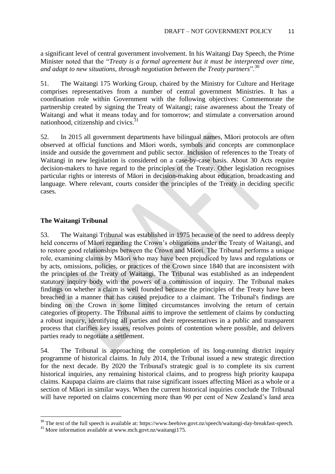a significant level of central government involvement. In his Waitangi Day Speech, the Prime Minister noted that the "*Treaty is a formal agreement but it must be interpreted over time, and adapt to new situations, through negotiation between the Treaty partners*".<sup>30</sup>

51. The Waitangi 175 Working Group, chaired by the Ministry for Culture and Heritage comprises representatives from a number of central government Ministries. It has a coordination role within Government with the following objectives: Commemorate the partnership created by signing the Treaty of Waitangi; raise awareness about the Treaty of Waitangi and what it means today and for tomorrow; and stimulate a conversation around nationhood, citizenship and civics. $31$ 

52. In 2015 all government departments have bilingual names, Māori protocols are often observed at official functions and Māori words, symbols and concepts are commonplace inside and outside the government and public sector. Inclusion of references to the Treaty of Waitangi in new legislation is considered on a case-by-case basis. About 30 Acts require decision-makers to have regard to the principles of the Treaty. Other legislation recognises particular rights or interests of Māori in decision-making about education, broadcasting and language. Where relevant, courts consider the principles of the Treaty in deciding specific cases.

#### **The Waitangi Tribunal**

**.** 

53. The Waitangi Tribunal was established in 1975 because of the need to address deeply held concerns of Māori regarding the Crown's obligations under the Treaty of Waitangi, and to restore good relationships between the Crown and Māori. The Tribunal performs a unique role, examining claims by Māori who may have been prejudiced by laws and regulations or by acts, omissions, policies, or practices of the Crown since 1840 that are inconsistent with the principles of the Treaty of Waitangi. The Tribunal was established as an independent statutory inquiry body with the powers of a commission of inquiry. The Tribunal makes findings on whether a claim is well founded because the principles of the Treaty have been breached in a manner that has caused prejudice to a claimant. The Tribunal's findings are binding on the Crown in some limited circumstances involving the return of certain categories of property. The Tribunal aims to improve the settlement of claims by conducting a robust inquiry, identifying all parties and their representatives in a public and transparent process that clarifies key issues, resolves points of contention where possible, and delivers parties ready to negotiate a settlement.

54. The Tribunal is approaching the completion of its long-running district inquiry programme of historical claims. In July 2014, the Tribunal issued a new strategic direction for the next decade. By 2020 the Tribunal's strategic goal is to complete its six current historical inquiries, any remaining historical claims, and to progress high priority kaupapa claims. Kaupapa claims are claims that raise significant issues affecting Māori as a whole or a section of Māori in similar ways. When the current historical inquiries conclude the Tribunal will have reported on claims concerning more than 90 per cent of New Zealand's land area

<sup>&</sup>lt;sup>30</sup> The text of the full speech is available at: https://www.beehive.govt.nz/speech/waitangi-day-breakfast-speech.

<sup>&</sup>lt;sup>31</sup> More information available at www.mch.govt.nz/waitangi175.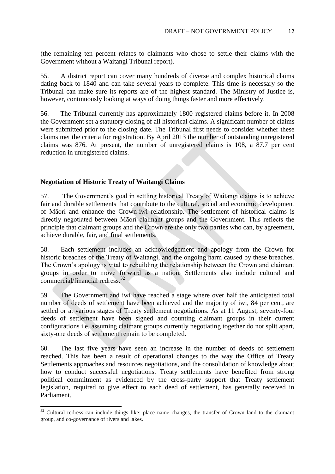(the remaining ten percent relates to claimants who chose to settle their claims with the Government without a Waitangi Tribunal report).

55. A district report can cover many hundreds of diverse and complex historical claims dating back to 1840 and can take several years to complete. This time is necessary so the Tribunal can make sure its reports are of the highest standard. The Ministry of Justice is, however, continuously looking at ways of doing things faster and more effectively.

56. The Tribunal currently has approximately 1800 registered claims before it. In 2008 the Government set a statutory closing of all historical claims. A significant number of claims were submitted prior to the closing date. The Tribunal first needs to consider whether these claims met the criteria for registration. By April 2013 the number of outstanding unregistered claims was 876. At present, the number of unregistered claims is 108, a 87.7 per cent reduction in unregistered claims.

#### **Negotiation of Historic Treaty of Waitangi Claims**

 $\overline{a}$ 

57. The Government's goal in settling historical Treaty of Waitangi claims is to achieve fair and durable settlements that contribute to the cultural, social and economic development of Māori and enhance the Crown-iwi relationship. The settlement of historical claims is directly negotiated between Māori claimant groups and the Government. This reflects the principle that claimant groups and the Crown are the only two parties who can, by agreement, achieve durable, fair, and final settlements.

58. Each settlement includes an acknowledgement and apology from the Crown for historic breaches of the Treaty of Waitangi, and the ongoing harm caused by these breaches. The Crown's apology is vital to rebuilding the relationship between the Crown and claimant groups in order to move forward as a nation. Settlements also include cultural and commercial/financial redress.<sup>32</sup>

59. The Government and iwi have reached a stage where over half the anticipated total number of deeds of settlement have been achieved and the majority of iwi, 84 per cent, are settled or at various stages of Treaty settlement negotiations. As at 11 August, seventy-four deeds of settlement have been signed and counting claimant groups in their current configurations i.e. assuming claimant groups currently negotiating together do not split apart, sixty-one deeds of settlement remain to be completed.

60. The last five years have seen an increase in the number of deeds of settlement reached. This has been a result of operational changes to the way the Office of Treaty Settlements approaches and resources negotiations, and the consolidation of knowledge about how to conduct successful negotiations. Treaty settlements have benefited from strong political commitment as evidenced by the cross-party support that Treaty settlement legislation, required to give effect to each deed of settlement, has generally received in Parliament.

 $32$  Cultural redress can include things like: place name changes, the transfer of Crown land to the claimant group, and co-governance of rivers and lakes.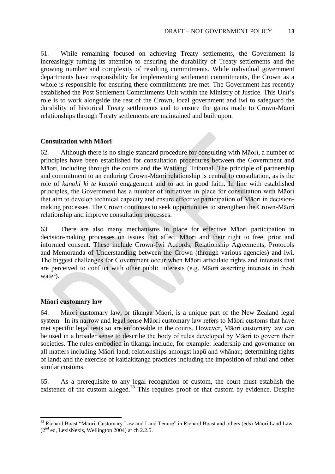61. While remaining focused on achieving Treaty settlements, the Government is increasingly turning its attention to ensuring the durability of Treaty settlements and the growing number and complexity of resulting commitments. While individual government departments have responsibility for implementing settlement commitments, the Crown as a whole is responsible for ensuring these commitments are met. The Government has recently established the Post Settlement Commitments Unit within the Ministry of Justice. This Unit's role is to work alongside the rest of the Crown, local government and iwi to safeguard the durability of historical Treaty settlements and to ensure the gains made to Crown-Māori relationships through Treaty settlements are maintained and built upon.

#### **Consultation with Māori**

62. Although there is no single standard procedure for consulting with Māori, a number of principles have been established for consultation procedures between the Government and Māori, including through the courts and the Waitangi Tribunal. The principle of partnership and commitment to an enduring Crown-Māori relationship is central to consultation, as is the role of *kanohi ki te kanohi* engagement and to act in good faith. In line with established principles, the Government has a number of initiatives in place for consultation with Māori that aim to develop technical capacity and ensure effective participation of Māori in decisionmaking processes. The Crown continues to seek opportunities to strengthen the Crown-Māori relationship and improve consultation processes.

63. There are also many mechanisms in place for effective Māori participation in decision-making processes on issues that affect Māori and their right to free, prior and informed consent. These include Crown-Iwi Accords, Relationship Agreements, Protocols and Memoranda of Understanding between the Crown (through various agencies) and iwi. The biggest challenges for Government occur when Māori articulate rights and interests that are perceived to conflict with other public interests (e.g. Māori asserting interests in fresh water).

### **Māori customary law**

64. Māori customary law, or tikanga Māori, is a unique part of the New Zealand legal system. In its narrow and legal sense Māori customary law refers to Māori customs that have met specific legal tests so are enforceable in the courts. However, Māori customary law can be used in a broader sense to describe the body of rules developed by Māori to govern their societies. The rules embodied in tikanga include, for example: leadership and governance on all matters including Māori land; relationships amongst hapū and whānau; determining rights of land; and the exercise of kaitiakitanga practices including the imposition of rahui and other similar customs.

65. As a prerequisite to any legal recognition of custom, the court must establish the existence of the custom alleged.<sup>33</sup> This requires proof of that custom by evidence. Despite

**<sup>.</sup>** <sup>33</sup> Richard Boast "Māori Customary Law and Land Tenure" in Richard Boast and others (eds) Māori Land Law  $(2<sup>nd</sup>$  ed, LexisNexis, Wellington 2004) at ch 2.2.5.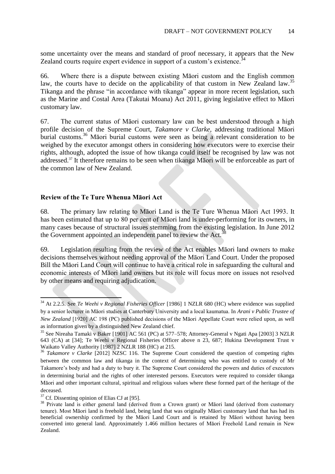some uncertainty over the means and standard of proof necessary, it appears that the New Zealand courts require expert evidence in support of a custom's existence.<sup> $34$ </sup>

66. Where there is a dispute between existing Māori custom and the English common law, the courts have to decide on the applicability of that custom in New Zealand law.<sup>35</sup> Tikanga and the phrase "in accordance with tikanga" appear in more recent legislation, such as the Marine and Costal Area (Takutai Moana) Act 2011, giving legislative effect to Māori customary law.

67. The current status of Māori customary law can be best understood through a high profile decision of the Supreme Court, *Takamore v Clarke,* addressing traditional Māori burial customs.<sup>36</sup> Māori burial customs were seen as being a relevant consideration to be weighed by the executor amongst others in considering how executors were to exercise their rights, although, adopted the issue of how tikanga could itself be recognised by law was not addressed. <sup>37</sup> It therefore remains to be seen when tikanga Māori will be enforceable as part of the common law of New Zealand.

#### **Review of the Te Ture Whenua Māori Act**

68. The primary law relating to Māori Land is the Te Ture Whenua Māori Act 1993. It has been estimated that up to 80 per cent of Māori land is under-performing for its owners, in many cases because of structural issues stemming from the existing legislation. In June 2012 the Government appointed an independent panel to review the Act.<sup>3</sup>

69. Legislation resulting from the review of the Act enables Māori land owners to make decisions themselves without needing approval of the Māori Land Court. Under the proposed Bill the Māori Land Court will continue to have a critical role in safeguarding the cultural and economic interests of Māori land owners but its role will focus more on issues not resolved by other means and requiring adjudication.

<sup>34</sup> At 2.2.5. See *Te Weehi v Regional Fisheries Officer* [1986] 1 NZLR 680 (HC) where evidence was supplied by a senior lecturer in Māori studies at Canterbury University and a local kaumatua. In *Arani v Public Trustee of New Zealand* [1920] AC 198 (PC) published decisions of the Māori Appellate Court were relied upon, as well as information given by a distinguished New Zealand chief.

<sup>35</sup> See Nireaha Tamaki v Baker [1901] AC 561 (PC) at 577–578; Attorney-General v Ngati Apa [2003] 3 NZLR 643 (CA) at [34]; Te Weehi v Regional Fisheries Officer above n 23, 687; Hukina Development Trust v Waikato Valley Authority [1987] 2 NZLR 188 (HC) at 215.

<sup>36</sup> *Takamore v Clarke* [2012] NZSC 116. The Supreme Court considered the question of competing rights between the common law and tikanga in the context of determining who was entitled to custody of Mr Takamore's body and had a duty to bury it. The Supreme Court considered the powers and duties of executors in determining burial and the rights of other interested persons. Executors were required to consider tikanga Māori and other important cultural, spiritual and religious values where these formed part of the heritage of the deceased.

 $37$  Cf. Dissenting opinion of Elias CJ at [95].

<sup>&</sup>lt;sup>38</sup> Private land is either general land (derived from a Crown grant) or Māori land (derived from customary tenure). Most Māori land is freehold land, being land that was originally Māori customary land that has had its beneficial ownership confirmed by the Māori Land Court and is retained by Māori without having been converted into general land. Approximately 1.466 million hectares of Māori Freehold Land remain in New Zealand.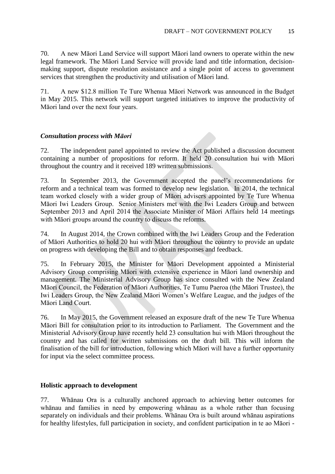70. A new Māori Land Service will support Māori land owners to operate within the new legal framework. The Māori Land Service will provide land and title information, decisionmaking support, dispute resolution assistance and a single point of access to government services that strengthen the productivity and utilisation of Māori land.

71. A new \$12.8 million Te Ture Whenua Māori Network was announced in the Budget in May 2015. This network will support targeted initiatives to improve the productivity of Māori land over the next four years.

### *Consultation process with Māori*

72. The independent panel appointed to review the Act published a discussion document containing a number of propositions for reform. It held 20 consultation hui with Māori throughout the country and it received 189 written submissions.

73. In September 2013, the Government accepted the panel's recommendations for reform and a technical team was formed to develop new legislation. In 2014, the technical team worked closely with a wider group of Māori advisers appointed by Te Ture Whenua Māori Iwi Leaders Group. Senior Ministers met with the Iwi Leaders Group and between September 2013 and April 2014 the Associate Minister of Māori Affairs held 14 meetings with Māori groups around the country to discuss the reforms.

74. In August 2014, the Crown combined with the Iwi Leaders Group and the Federation of Māori Authorities to hold 20 hui with Māori throughout the country to provide an update on progress with developing the Bill and to obtain responses and feedback.

75. In February 2015, the Minister for Māori Development appointed a Ministerial Advisory Group comprising Māori with extensive experience in Māori land ownership and management. The Ministerial Advisory Group has since consulted with the New Zealand Māori Council, the Federation of Māori Authorities, Te Tumu Paeroa (the Māori Trustee), the Iwi Leaders Group, the New Zealand Māori Women's Welfare League, and the judges of the Māori Land Court.

76. In May 2015, the Government released an exposure draft of the new Te Ture Whenua Māori Bill for consultation prior to its introduction to Parliament. The Government and the Ministerial Advisory Group have recently held 23 consultation hui with Māori throughout the country and has called for written submissions on the draft bill. This will inform the finalisation of the bill for introduction, following which Māori will have a further opportunity for input via the select committee process.

### **Holistic approach to development**

77. Whānau Ora is a culturally anchored approach to achieving better outcomes for whānau and families in need by empowering whānau as a whole rather than focusing separately on individuals and their problems. Whānau Ora is built around whānau aspirations for healthy lifestyles, full participation in society, and confident participation in te ao Māori -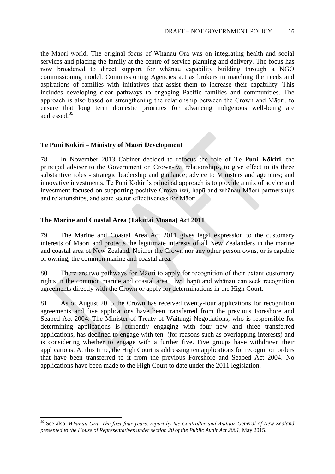the Māori world. The original focus of Whānau Ora was on integrating health and social services and placing the family at the centre of service planning and delivery. The focus has now broadened to direct support for whānau capability building through a NGO commissioning model. Commissioning Agencies act as brokers in matching the needs and aspirations of families with initiatives that assist them to increase their capability. This includes developing clear pathways to engaging Pacific families and communities. The approach is also based on strengthening the relationship between the Crown and Māori, to ensure that long term domestic priorities for advancing indigenous well-being are addressed.<sup>39</sup>

### **Te Puni Kōkiri – Ministry of Māori Development**

78. In November 2013 Cabinet decided to refocus the role of **Te Puni Kōkiri**, the principal adviser to the Government on Crown-iwi relationships, to give effect to its three substantive roles - strategic leadership and guidance; advice to Ministers and agencies; and innovative investments. Te Puni Kōkiri's principal approach is to provide a mix of advice and investment focused on supporting positive Crown-iwi, hapū and whānau Māori partnerships and relationships, and state sector effectiveness for Māori.

#### **The Marine and Coastal Area (Takutai Moana) Act 2011**

**.** 

79. The Marine and Coastal Area Act 2011 gives legal expression to the customary interests of Maori and protects the legitimate interests of all New Zealanders in the marine and coastal area of New Zealand. Neither the Crown nor any other person owns, or is capable of owning, the common marine and coastal area.

80. There are two pathways for Māori to apply for recognition of their extant customary rights in the common marine and coastal area. Iwi, hapū and whānau can seek recognition agreements directly with the Crown or apply for determinations in the High Court.

81. As of August 2015 the Crown has received twenty-four applications for recognition agreements and five applications have been transferred from the previous Foreshore and Seabed Act 2004. The Minister of Treaty of Waitangi Negotiations, who is responsible for determining applications is currently engaging with four new and three transferred applications, has declined to engage with ten (for reasons such as overlapping interests) and is considering whether to engage with a further five. Five groups have withdrawn their applications. At this time, the High Court is addressing ten applications for recognition orders that have been transferred to it from the previous Foreshore and Seabed Act 2004. No applications have been made to the High Court to date under the 2011 legislation.

<sup>39</sup> See also: *Whānau Ora: The first four years, report by the Controller and Auditor-General of New Zealand presented to the House of Representatives under section 20 of the Public Audit Act 2001*, May 2015.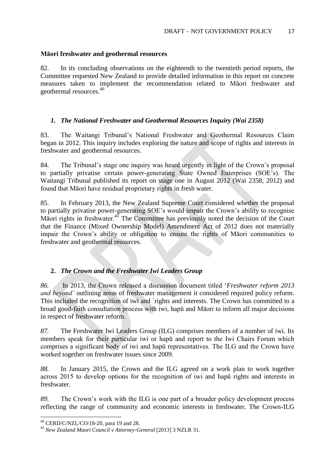### **Māori freshwater and geothermal resources**

82. In its concluding observations on the eighteenth to the twentieth period reports, the Committee requested New Zealand to provide detailed information in this report on concrete measures taken to implement the recommendation related to Māori freshwater and geothermal resources.<sup>40</sup>

### *1. The National Freshwater and Geothermal Resources Inquiry (Wai 2358)*

83. The Waitangi Tribunal's National Freshwater and Geothermal Resources Claim began in 2012. This inquiry includes exploring the nature and scope of rights and interests in freshwater and geothermal resources.

84. The Tribunal's stage one inquiry was heard urgently in light of the Crown's proposal to partially privatise certain power-generating State Owned Enterprises (SOE's). The Waitangi Tribunal published its report on stage one in August 2012 (Wai 2358, 2012) and found that Māori have residual proprietary rights in fresh water.

85. In February 2013, the New Zealand Supreme Court considered whether the proposal to partially privatise power-generating SOE's would impair the Crown's ability to recognise Māori rights in freshwater.<sup>41</sup> The Committee has previously noted the decision of the Court that the Finance (Mixed Ownership Model) Amendment Act of 2012 does not materially impair the Crown's ability or obligation to ensure the rights of Māori communities to freshwater and geothermal resources.

### **2.** *The Crown and the Freshwater Iwi Leaders Group*

*86.* In 2013, the Crown released a discussion document titled '*Freshwater reform 2013 and beyond'* outlining areas of freshwater management it considered required policy reform. This included the recognition of iwi and `rights and interests. The Crown has committed to a broad good-faith consultation process with iwi, hapū and Māori to inform all major decisions in respect of freshwater reform.

*87.* The Freshwater Iwi Leaders Group (ILG) comprises members of a number of iwi. Its members speak for their particular iwi or hapū and report to the Iwi Chairs Forum which comprises a significant body of iwi and hapū representatives. The ILG and the Crown have worked together on freshwater issues since 2009.

*88.* In January 2015, the Crown and the ILG agreed on a work plan to work together across 2015 to develop options for the recognition of iwi and hapū rights and interests in freshwater.

*89.* The Crown's work with the ILG is one part of a broader policy development process reflecting the range of community and economic interests in freshwater. The Crown-ILG

**<sup>.</sup>**  $^{40}$  CERD/C/NZL/CO/18-20, para 19 and 28.

<sup>41</sup> *New Zealand Maori Council v Attorney-General* [2013] 3 NZLR 31.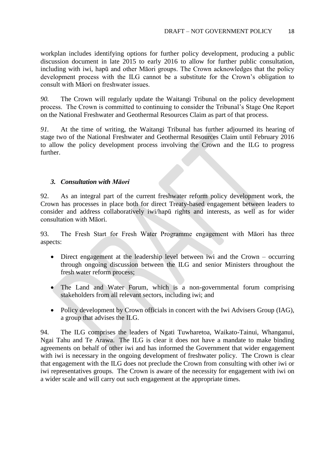workplan includes identifying options for further policy development, producing a public discussion document in late 2015 to early 2016 to allow for further public consultation, including with iwi, hapū and other Māori groups. The Crown acknowledges that the policy development process with the ILG cannot be a substitute for the Crown's obligation to consult with Māori on freshwater issues.

*90.* The Crown will regularly update the Waitangi Tribunal on the policy development process. The Crown is committed to continuing to consider the Tribunal's Stage One Report on the National Freshwater and Geothermal Resources Claim as part of that process.

*91.* At the time of writing, the Waitangi Tribunal has further adjourned its hearing of stage two of the National Freshwater and Geothermal Resources Claim until February 2016 to allow the policy development process involving the Crown and the ILG to progress further.

#### *3. Consultation with Māori*

92. As an integral part of the current freshwater reform policy development work, the Crown has processes in place both for direct Treaty-based engagement between leaders to consider and address collaboratively iwi/hapū rights and interests, as well as for wider consultation with Māori.

93. The Fresh Start for Fresh Water Programme engagement with Māori has three aspects:

- Direct engagement at the leadership level between iwi and the Crown occurring through ongoing discussion between the ILG and senior Ministers throughout the fresh water reform process;
- The Land and Water Forum, which is a non-governmental forum comprising stakeholders from all relevant sectors, including iwi; and
- Policy development by Crown officials in concert with the Iwi Advisers Group (IAG), a group that advises the ILG.

94. The ILG comprises the leaders of Ngati Tuwharetoa, Waikato-Tainui, Whanganui, Ngai Tahu and Te Arawa. The ILG is clear it does not have a mandate to make binding agreements on behalf of other iwi and has informed the Government that wider engagement with iwi is necessary in the ongoing development of freshwater policy. The Crown is clear that engagement with the ILG does not preclude the Crown from consulting with other iwi or iwi representatives groups. The Crown is aware of the necessity for engagement with iwi on a wider scale and will carry out such engagement at the appropriate times.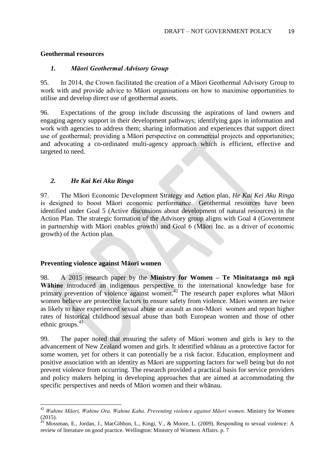#### **Geothermal resources**

#### *1. Māori Geothermal Advisory Group*

95. In 2014, the Crown facilitated the creation of a Māori Geothermal Advisory Group to work with and provide advice to Māori organisations on how to maximise opportunities to utilise and develop direct use of geothermal assets.

96. Expectations of the group include discussing the aspirations of land owners and engaging agency support in their development pathways; identifying gaps in information and work with agencies to address them; sharing information and experiences that support direct use of geothermal; providing a Māori perspective on commercial projects and opportunities; and advocating a co-ordinated multi-agency approach which is efficient, effective and targeted to need.

### *2. He Kai Kei Aku Ringa*

97. The Māori Economic Development Strategy and Action plan, *He Kai Kei Aku Ringa* is designed to boost Māori economic performance. Geothermal resources have been identified under Goal 5 (Active discussions about development of natural resources) in the Action Plan. The strategic formation of the Advisory group aligns with Goal 4 (Government in partnership with Māori enables growth) and Goal 6 (Māori Inc. as a driver of economic growth) of the Action plan.

### **Preventing violence against Māori women**

**.** 

98. A 2015 research paper by the **Ministry for Women – Te Minitatanga mō ngā Wāhine** introduced an indigenous perspective to the international knowledge base for primary prevention of violence against women.<sup>42</sup> The research paper explores what Māori women believe are protective factors to ensure safety from violence. Māori women are twice as likely to have experienced sexual abuse or assault as non-Māori women and report higher rates of historical childhood sexual abuse than both European women and those of other ethnic groups. $43$ 

99. The paper noted that ensuring the safety of Māori women and girls is key to the advancement of New Zealand women and girls. It identified whānau as a protective factor for some women, yet for others it can potentially be a risk factor. Education, employment and positive association with an identity as Māori are supporting factors for well being but do not prevent violence from occurring. The research provided a practical basis for service providers and policy makers helping in developing approaches that are aimed at accommodating the specific perspectives and needs of Māori women and their whānau.

<sup>42</sup> *Wahine Māori, Wahine Ora, Wahine Kaha*. *Preventing violence against Māori women*. Ministry for Women (2015).

 $^{43}$  Mossman, E., Jordan, J., MacGibbon, L., Kingi, V., & Moore, L. (2009). Responding to sexual violence: A review of literature on good practice. Wellington: Ministry of Womens Affairs. p. 7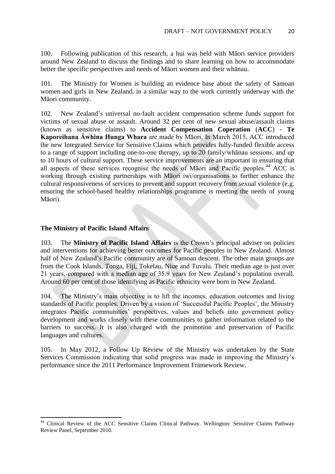100. Following publication of this research, a hui was held with Māori service providers around New Zealand to discuss the findings and to share learning on how to accommodate better the specific perspectives and needs of Māori women and their whānau.

101. The Ministry for Women is building an evidence base about the safety of Samoan women and girls in New Zealand, in a similar way to the work currently underway with the Māori community.

102. New Zealand's universal no-fault accident compensation scheme funds support for victims of sexual abuse or assault. Around 32 per cent of new sexual abuse/assault claims (known as sensitive claims) to **Accident Compensation Coperation** (**ACC**) - **Te Kaporeihana Āwhina Hunga Whara** are made by Māori. In March 2015, ACC introduced the new Integrated Service for Sensitive Claims which provides fully-funded flexible access to a range of support including one-to-one therapy, up to 20 family/whānau sessions, and up to 10 hours of cultural support. These service improvements are an important in ensuring that all aspects of these services recognise the needs of Māori and Pacific peoples.<sup>44</sup> ACC is working through existing partnerships with Māori iwi/organisations to further enhance the cultural responsiveness of services to prevent and support recovery from sexual violence (e.g. ensuring the school-based healthy relationships programme is meeting the needs of young Māori).

#### **The Ministry of Pacific Island Affairs**

**.** 

103. The **Ministry of Pacific Island Affairs** is the Crown's principal adviser on policies and interventions for achieving better outcomes for Pacific peoples in New Zealand. Almost half of New Zealand's Pacific community are of Samoan descent. The other main groups are from the Cook Islands, Tonga, Fiji, Tokelau, Niue and Tuvalu. Their median age is just over 21 years, compared with a median age of 35.9 years for New Zealand's population overall. Around 60 per cent of those identifying as Pacific ethnicity were born in New Zealand.

104. The Ministry's main objective is to lift the incomes, education outcomes and living standards of Pacific peoples. Driven by a vision of 'Successful Pacific Peoples', the Ministry integrates Pacific communities' perspectives, values and beliefs into government policy development and works closely with these communities to gather information related to the barriers to success. It is also charged with the promotion and preservation of Pacific languages and cultures.

105. In May 2012, a Follow Up Review of the Ministry was undertaken by the State Services Commission indicating that solid progress was made in improving the Ministry's performance since the 2011 Performance Improvement Framework Review.

<sup>&</sup>lt;sup>44</sup> Clinical Review of the ACC Sensitive Claims Clinical Pathway. Wellington: Sensitive Claims Pathway Review Panel, September 2010.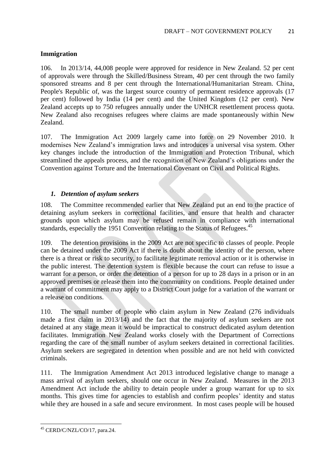### **Immigration**

106. In 2013/14, 44,008 people were approved for residence in New Zealand. 52 per cent of approvals were through the Skilled/Business Stream, 40 per cent through the two family sponsored streams and 8 per cent through the International/Humanitarian Stream. China, People's Republic of, was the largest source country of permanent residence approvals (17 per cent) followed by India (14 per cent) and the United Kingdom (12 per cent). New Zealand accepts up to 750 refugees annually under the UNHCR resettlement process quota. New Zealand also recognises refugees where claims are made spontaneously within New Zealand.

107. The Immigration Act 2009 largely came into force on 29 November 2010. It modernises New Zealand's immigration laws and introduces a universal visa system. Other key changes include the introduction of the Immigration and Protection Tribunal, which streamlined the appeals process, and the recognition of New Zealand's obligations under the Convention against Torture and the International Covenant on Civil and Political Rights.

### *1. Detention of asylum seekers*

108. The Committee recommended earlier that New Zealand put an end to the practice of detaining asylum seekers in correctional facilities, and ensure that health and character grounds upon which asylum may be refused remain in compliance with international standards, especially the 1951 Convention relating to the Status of Refugees.<sup>45</sup>

109. The detention provisions in the 2009 Act are not specific to classes of people. People can be detained under the 2009 Act if there is doubt about the identity of the person, where there is a threat or risk to security, to facilitate legitimate removal action or it is otherwise in the public interest. The detention system is flexible because the court can refuse to issue a warrant for a person, or order the detention of a person for up to 28 days in a prison or in an approved premises or release them into the community on conditions. People detained under a warrant of commitment may apply to a District Court judge for a variation of the warrant or a release on conditions.

110. The small number of people who claim asylum in New Zealand (276 individuals made a first claim in 2013/14) and the fact that the majority of asylum seekers are not detained at any stage mean it would be impractical to construct dedicated asylum detention facilitates. Immigration New Zealand works closely with the Department of Corrections regarding the care of the small number of asylum seekers detained in correctional facilities. Asylum seekers are segregated in detention when possible and are not held with convicted criminals.

111. The Immigration Amendment Act 2013 introduced legislative change to manage a mass arrival of asylum seekers, should one occur in New Zealand. Measures in the 2013 Amendment Act include the ability to detain people under a group warrant for up to six months. This gives time for agencies to establish and confirm peoples' identity and status while they are housed in a safe and secure environment. In most cases people will be housed

**<sup>.</sup>** <sup>45</sup> CERD/C/NZL/CO/17, para.24.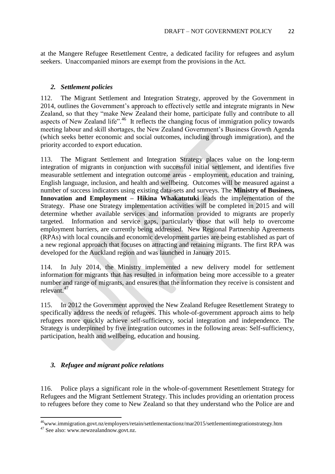at the Mangere Refugee Resettlement Centre, a dedicated facility for refugees and asylum seekers. Unaccompanied minors are exempt from the provisions in the Act.

### *2. Settlement policies*

112. The Migrant Settlement and Integration Strategy, approved by the Government in 2014, outlines the Government's approach to effectively settle and integrate migrants in New Zealand, so that they "make New Zealand their home, participate fully and contribute to all aspects of New Zealand life".<sup>46</sup> It reflects the changing focus of immigration policy towards meeting labour and skill shortages, the New Zealand Government's Business Growth Agenda (which seeks better economic and social outcomes, including through immigration), and the priority accorded to export education.

113. The Migrant Settlement and Integration Strategy places value on the long-term integration of migrants in conjunction with successful initial settlement, and identifies five measurable settlement and integration outcome areas - employment, education and training, English language, inclusion, and health and wellbeing. Outcomes will be measured against a number of success indicators using existing data-sets and surveys. The **Ministry of Business, Innovation and Employment – Hikina Whakatutuki** leads the implementation of the Strategy. Phase one Strategy implementation activities will be completed in 2015 and will determine whether available services and information provided to migrants are properly targeted. Information and service gaps, particularly those that will help to overcome employment barriers, are currently being addressed. New Regional Partnership Agreements (RPAs) with local councils and economic development parties are being established as part of a new regional approach that focuses on attracting and retaining migrants. The first RPA was developed for the Auckland region and was launched in January 2015.

114. In July 2014, the Ministry implemented a new delivery model for settlement information for migrants that has resulted in information being more accessible to a greater number and range of migrants, and ensures that the information they receive is consistent and relevant.<sup>47</sup>

115. In 2012 the Government approved the New Zealand Refugee Resettlement Strategy to specifically address the needs of refugees. This whole-of-government approach aims to help refugees more quickly achieve self-sufficiency, social integration and independence. The Strategy is underpinned by five integration outcomes in the following areas: Self-sufficiency, participation, health and wellbeing, education and housing.

### *3. Refugee and migrant police relations*

116. Police plays a significant role in the whole-of-government Resettlement Strategy for Refugees and the Migrant Settlement Strategy. This includes providing an orientation process to refugees before they come to New Zealand so that they understand who the Police are and

**<sup>.</sup>** <sup>46</sup>www.immigration.govt.nz/employers/retain/settlementactionz/mar2015/settlementintegrationstrategy.htm

<sup>&</sup>lt;sup>47</sup> See also: www.newzealandnow.govt.nz.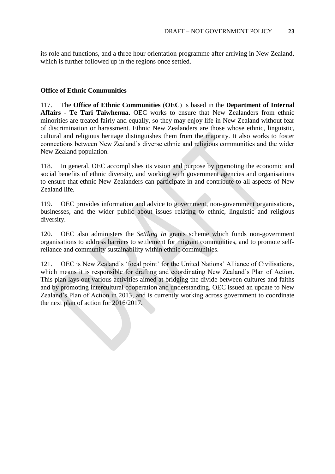its role and functions, and a three hour orientation programme after arriving in New Zealand, which is further followed up in the regions once settled.

### **Office of Ethnic Communities**

117. The **Office of Ethnic Communities** (**OEC**) is based in the **Department of Internal Affairs - Te Tari Taiwhenua.** OEC works to ensure that New Zealanders from ethnic minorities are treated fairly and equally, so they may enjoy life in New Zealand without fear of discrimination or harassment. Ethnic New Zealanders are those whose ethnic, linguistic, cultural and religious heritage distinguishes them from the majority. It also works to foster connections between New Zealand's diverse ethnic and religious communities and the wider New Zealand population.

118. In general, OEC accomplishes its vision and purpose by promoting the economic and social benefits of ethnic diversity, and working with government agencies and organisations to ensure that ethnic New Zealanders can participate in and contribute to all aspects of New Zealand life.

119. OEC provides information and advice to government, non-government organisations, businesses, and the wider public about issues relating to ethnic, linguistic and religious diversity.

120. OEC also administers the *Settling In* grants scheme which funds non-government organisations to address barriers to settlement for migrant communities, and to promote selfreliance and community sustainability within ethnic communities.

121. OEC is New Zealand's 'focal point' for the United Nations' Alliance of Civilisations, which means it is responsible for drafting and coordinating New Zealand's Plan of Action. This plan lays out various activities aimed at bridging the divide between cultures and faiths and by promoting intercultural cooperation and understanding. OEC issued an update to New Zealand's Plan of Action in 2013, and is currently working across government to coordinate the next plan of action for 2016/2017.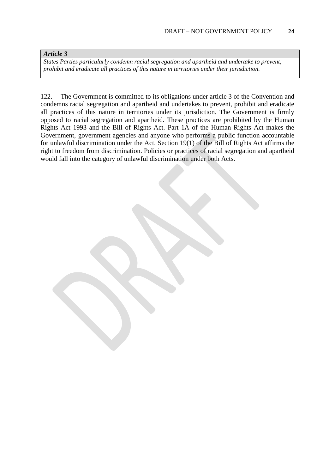#### *Article 3*

*States Parties particularly condemn racial segregation and apartheid and undertake to prevent, prohibit and eradicate all practices of this nature in territories under their jurisdiction.*

122. The Government is committed to its obligations under article 3 of the Convention and condemns racial segregation and apartheid and undertakes to prevent, prohibit and eradicate all practices of this nature in territories under its jurisdiction. The Government is firmly opposed to racial segregation and apartheid. These practices are prohibited by the Human Rights Act 1993 and the Bill of Rights Act. Part 1A of the Human Rights Act makes the Government, government agencies and anyone who performs a public function accountable for unlawful discrimination under the Act. Section 19(1) of the Bill of Rights Act affirms the right to freedom from discrimination. Policies or practices of racial segregation and apartheid would fall into the category of unlawful discrimination under both Acts.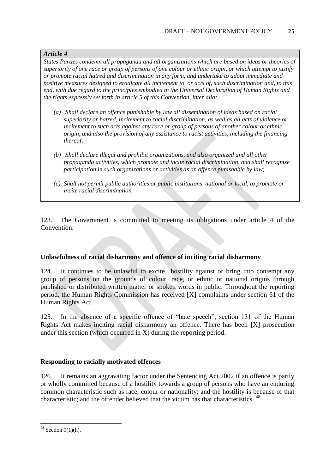#### *Article 4*

*States Parties condemn all propaganda and all organizations which are based on ideas or theories of superiority of one race or group of persons of one colour or ethnic origin, or which attempt to justify or promote racial hatred and discrimination in any form, and undertake to adopt immediate and positive measures designed to eradicate all incitement to, or acts of, such discrimination and, to this end, with due regard to the principles embodied in the Universal Declaration of Human Rights and the rights expressly set forth in article 5 of this Convention, inter alia:* 

- *(a) Shall declare an offence punishable by law all dissemination of ideas based on racial superiority or hatred, incitement to racial discrimination, as well as all acts of violence or incitement to such acts against any race or group of persons of another colour or ethnic origin, and also the provision of any assistance to racist activities, including the financing thereof;*
- *(b) Shall declare illegal and prohibit organizations, and also organized and all other propaganda activities, which promote and incite racial discrimination, and shall recognize participation in such organizations or activities as an offence punishable by law;*
- *(c) Shall not permit public authorities or public institutions, national or local, to promote or incite racial discrimination.*

123. The Government is committed to meeting its obligations under article 4 of the Convention.

### **Unlawfulness of racial disharmony and offence of inciting racial disharmony**

124. It continues to be unlawful to excite hostility against or bring into contempt any group of persons on the grounds of colour, race, or ethnic or national origins through published or distributed written matter or spoken words in public. Throughout the reporting period, the Human Rights Commission has received [X] complaints under section 61 of the Human Rights Act.

125. In the absence of a specific offence of "hate speech", section 131 of the Human Rights Act makes inciting racial disharmony an offence. There has been [X] prosecution under this section (which occurred in X) during the reporting period.

### **Responding to racially motivated offences**

126. It remains an aggravating factor under the Sentencing Act 2002 if an offence is partly or wholly committed because of a hostility towards a group of persons who have an enduring common characteristic such as race, colour or nationality; and the hostility is because of that characteristic; and the offender believed that the victim has that characteristics. <sup>48</sup>

 $48$  Section 9(1)(h).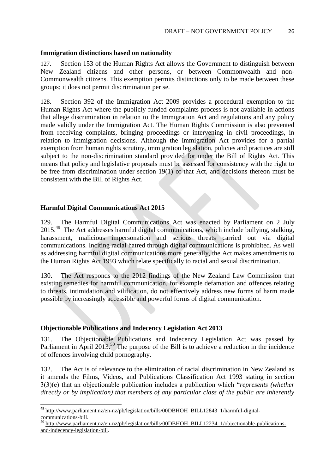#### **Immigration distinctions based on nationality**

127. Section 153 of the Human Rights Act allows the Government to distinguish between New Zealand citizens and other persons, or between Commonwealth and non-Commonwealth citizens. This exemption permits distinctions only to be made between these groups; it does not permit discrimination per se.

128. Section 392 of the Immigration Act 2009 provides a procedural exemption to the Human Rights Act where the publicly funded complaints process is not available in actions that allege discrimination in relation to the Immigration Act and regulations and any policy made validly under the Immigration Act. The Human Rights Commission is also prevented from receiving complaints, bringing proceedings or intervening in civil proceedings, in relation to immigration decisions. Although the Immigration Act provides for a partial exemption from human rights scrutiny, immigration legislation, policies and practices are still subject to the non-discrimination standard provided for under the Bill of Rights Act. This means that policy and legislative proposals must be assessed for consistency with the right to be free from discrimination under section 19(1) of that Act, and decisions thereon must be consistent with the Bill of Rights Act.

### **Harmful Digital Communications Act 2015**

**.** 

129. The Harmful Digital Communications Act was enacted by Parliament on 2 July 2015<sup>.49</sup> The Act addresses harmful digital communications, which include bullying, stalking, harassment, malicious impersonation and serious threats carried out via digital communications. Inciting racial hatred through digital communications is prohibited. As well as addressing harmful digital communications more generally, the Act makes amendments to the Human Rights Act 1993 which relate specifically to racial and sexual discrimination.

130. The Act responds to the 2012 findings of the New Zealand Law Commission that existing remedies for harmful communication, for example defamation and offences relating to threats, intimidation and vilification, do not effectively address new forms of harm made possible by increasingly accessible and powerful forms of digital communication.

### **Objectionable Publications and Indecency Legislation Act 2013**

131. The Objectionable Publications and Indecency Legislation Act was passed by Parliament in April 2013.<sup>50</sup> The purpose of the Bill is to achieve a reduction in the incidence of offences involving child pornography.

132. The Act is of relevance to the elimination of racial discrimination in New Zealand as it amends the Films, Videos, and Publications Classification Act 1993 stating in section 3(3)(e) that an objectionable publication includes a publication which "*represents (whether directly or by implication) that members of any particular class of the public are inherently* 

<sup>&</sup>lt;sup>49</sup> http://www.parliament.nz/en-nz/pb/legislation/bills/00DBHOH\_BILL12843\_1/harmful-digitalcommunications-bill.

<sup>&</sup>lt;sup>50</sup> [http://www.parliament.nz/en-nz/pb/legislation/bills/00DBHOH\\_BILL12234\\_1/objectionable-publications](http://www.parliament.nz/en-nz/pb/legislation/bills/00DBHOH_BILL12234_1/objectionable-publications-and-indecency-legislation-bill)[and-indecency-legislation-bill.](http://www.parliament.nz/en-nz/pb/legislation/bills/00DBHOH_BILL12234_1/objectionable-publications-and-indecency-legislation-bill)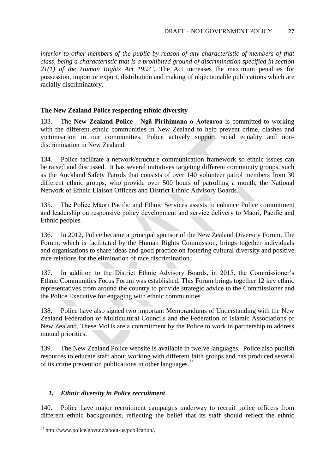*inferior to other members of the public by reason of any characteristic of members of that class, being a characteristic that is a prohibited ground of discrimination specified in section 21(1) of the Human Rights Act 1993".* The Act increases the maximum penalties for possession, import or export, distribution and making of objectionable publications which are racially discriminatory.

### **The New Zealand Police respecting ethnic diversity**

133. The **New Zealand Police - Ngā Pirihimana o Aotearoa** is committed to working with the different ethnic communities in New Zealand to help prevent crime, clashes and victimisation in our communities. Police actively support racial equality and nondiscrimination in New Zealand.

134. Police facilitate a network/structure communication framework so ethnic issues can be raised and discussed. It has several initiatives targeting different community groups, such as the Auckland Safety Patrols that consists of over 140 volunteer patrol members from 30 different ethnic groups, who provide over 500 hours of patrolling a month, the National Network of Ethnic Liaison Officers and District Ethnic Advisory Boards.

135. The Police Māori Pacific and Ethnic Services assists to enhance Police commitment and leadership on responsive policy development and service delivery to Māori, Pacific and Ethnic peoples.

136. In 2012, Police became a principal sponsor of the New Zealand Diversity Forum. The Forum, which is facilitated by the Human Rights Commission, brings together individuals and organisations to share ideas and good practice on fostering cultural diversity and positive race relations for the elimination of race discrimination.

137. In addition to the District Ethnic Advisory Boards, in 2015, the Commissioner's Ethnic Communities Focus Forum was established. This Forum brings together 12 key ethnic representatives from around the country to provide strategic advice to the Commissioner and the Police Executive for engaging with ethnic communities.

138. Police have also signed two important Memorandums of Understanding with the New Zealand Federation of Multicultural Councils and the Federation of Islamic Associations of New Zealand. These MoUs are a commitment by the Police to work in partnership to address mutual priorities.

139. The New Zealand Police website is available in twelve languages. Police also publish resources to educate staff about working with different faith groups and has produced several of its crime prevention publications in other languages.<sup>51</sup>

### *1. Ethnic diversity in Police recruitment*

140. Police have major recruitment campaigns underway to recruit police officers from different ethnic backgrounds, reflecting the belief that its staff should reflect the ethnic

 $^{51}$  http://www.police.govt.nz/about-us/publication/.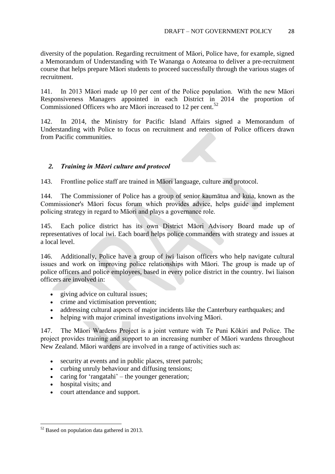diversity of the population. Regarding recruitment of Māori, Police have, for example, signed a Memorandum of Understanding with Te Wananga o Aotearoa to deliver a pre-recruitment course that helps prepare Māori students to proceed successfully through the various stages of recruitment.

141. In 2013 Māori made up 10 per cent of the Police population. With the new Māori Responsiveness Managers appointed in each District in 2014 the proportion of Commissioned Officers who are Māori increased to 12 per cent.<sup>52</sup>

142. In 2014, the Ministry for Pacific Island Affairs signed a Memorandum of Understanding with Police to focus on recruitment and retention of Police officers drawn from Pacific communities.

### *2. Training in Māori culture and protocol*

143. Frontline police staff are trained in Māori language, culture and protocol.

144. The Commissioner of Police has a group of senior kaumātua and kuia, known as the Commissioner's Māori focus forum which provides advice, helps guide and implement policing strategy in regard to Māori and plays a governance role.

145. Each police district has its own District Māori Advisory Board made up of representatives of local iwi. Each board helps police commanders with strategy and issues at a local level.

146. Additionally, Police have a group of iwi liaison officers who help navigate cultural issues and work on improving police relationships with Māori. The group is made up of police officers and police employees, based in every police district in the country. Iwi liaison officers are involved in:

- giving advice on cultural issues;
- crime and victimisation prevention;
- addressing cultural aspects of major incidents like the Canterbury earthquakes; and
- helping with major criminal investigations involving Māori.

147. The Māori Wardens Project is a joint venture with Te Puni Kōkiri and Police. The project provides training and support to an increasing number of Māori wardens throughout New Zealand. Māori wardens are involved in a range of activities such as:

- security at events and in public places, street patrols;
- curbing unruly behaviour and diffusing tensions;
- caring for 'rangatahi' the younger generation;
- hospital visits; and

**.** 

court attendance and support.

 $52$  Based on population data gathered in 2013.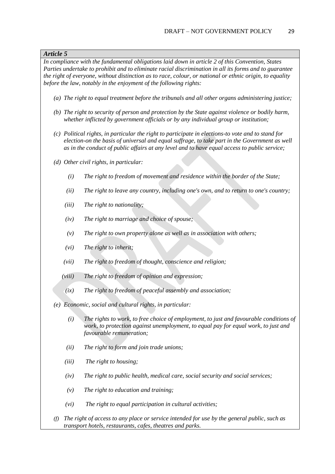#### *Article 5*

*In compliance with the fundamental obligations laid down in article 2 of this Convention, States Parties undertake to prohibit and to eliminate racial discrimination in all its forms and to guarantee the right of everyone, without distinction as to race, colour, or national or ethnic origin, to equality before the law, notably in the enjoyment of the following rights:* 

- *(a) The right to equal treatment before the tribunals and all other organs administering justice;*
- *(b) The right to security of person and protection by the State against violence or bodily harm, whether inflicted by government officials or by any individual group or institution;*
- *(c) Political rights, in particular the right to participate in elections-to vote and to stand for election-on the basis of universal and equal suffrage, to take part in the Government as well as in the conduct of public affairs at any level and to have equal access to public service;*
- *(d) Other civil rights, in particular:* 
	- *(i) The right to freedom of movement and residence within the border of the State;*
	- *(ii) The right to leave any country, including one's own, and to return to one's country;*
	- *(iii) The right to nationality;*
	- *(iv) The right to marriage and choice of spouse;*
	- *(v) The right to own property alone as well as in association with others;*
	- *(vi) The right to inherit;*
	- *(vii) The right to freedom of thought, conscience and religion;*
	- *(viii) The right to freedom of opinion and expression;*
	- *(ix) The right to freedom of peaceful assembly and association;*
- *(e) Economic, social and cultural rights, in particular:* 
	- *(i) The rights to work, to free choice of employment, to just and favourable conditions of work, to protection against unemployment, to equal pay for equal work, to just and favourable remuneration;*
	- *(ii) The right to form and join trade unions;*
	- *(iii) The right to housing;*
	- *(iv) The right to public health, medical care, social security and social services;*
	- *(v) The right to education and training;*
	- *(vi) The right to equal participation in cultural activities;*
- *(f) The right of access to any place or service intended for use by the general public, such as transport hotels, restaurants, cafes, theatres and parks.*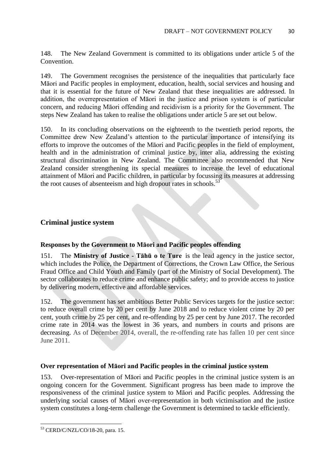148. The New Zealand Government is committed to its obligations under article 5 of the Convention.

149. The Government recognises the persistence of the inequalities that particularly face Māori and Pacific peoples in employment, education, health, social services and housing and that it is essential for the future of New Zealand that these inequalities are addressed. In addition, the overrepresentation of Māori in the justice and prison system is of particular concern, and reducing Māori offending and recidivism is a priority for the Government. The steps New Zealand has taken to realise the obligations under article 5 are set out below.

150. In its concluding observations on the eighteenth to the twentieth period reports, the Committee drew New Zealand's attention to the particular importance of intensifying its efforts to improve the outcomes of the Māori and Pacific peoples in the field of employment, health and in the administration of criminal justice by, inter alia, addressing the existing structural discrimination in New Zealand. The Committee also recommended that New Zealand consider strengthening its special measures to increase the level of educational attainment of Māori and Pacific children, in particular by focussing its measures at addressing the root causes of absenteeism and high dropout rates in schools. $53$ 

### **Criminal justice system**

#### **Responses by the Government to Māori and Pacific peoples offending**

151. The **Ministry of Justice - Tāhū o te Ture** is the lead agency in the justice sector, which includes the Police, the Department of Corrections, the Crown Law Office, the Serious Fraud Office and Child Youth and Family (part of the Ministry of Social Development). The sector collaborates to reduce crime and enhance public safety; and to provide access to justice by delivering modern, effective and affordable services.

152. The government has set ambitious Better Public Services targets for the justice sector: to reduce overall crime by 20 per cent by June 2018 and to reduce violent crime by 20 per cent, youth crime by 25 per cent, and re-offending by 25 per cent by June 2017. The recorded crime rate in 2014 was the lowest in 36 years, and numbers in courts and prisons are decreasing. As of December 2014, overall, the re-offending rate has fallen 10 per cent since June 2011.

#### **Over representation of Māori and Pacific peoples in the criminal justice system**

153. Over-representation of Māori and Pacific peoples in the criminal justice system is an ongoing concern for the Government. Significant progress has been made to improve the responsiveness of the criminal justice system to Māori and Pacific peoples. Addressing the underlying social causes of Māori over-representation in both victimisation and the justice system constitutes a long-term challenge the Government is determined to tackle efficiently.

<sup>53</sup> CERD/C/NZL/CO/18-20, para. 15.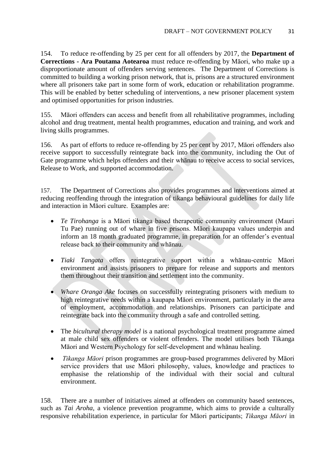154. To reduce re-offending by 25 per cent for all offenders by 2017, the **Department of Corrections - Ara Poutama Aotearoa** must reduce re-offending by Māori, who make up a disproportionate amount of offenders serving sentences. The Department of Corrections is committed to building a working prison network, that is, prisons are a structured environment where all prisoners take part in some form of work, education or rehabilitation programme. This will be enabled by better scheduling of interventions, a new prisoner placement system and optimised opportunities for prison industries.

155. Māori offenders can access and benefit from all rehabilitative programmes, including alcohol and drug treatment, mental health programmes, education and training, and work and living skills programmes.

156. As part of efforts to reduce re-offending by 25 per cent by 2017, Māori offenders also receive support to successfully reintegrate back into the community, including the Out of Gate programme which helps offenders and their whānau to receive access to social services, Release to Work, and supported accommodation.

157. The Department of Corrections also provides programmes and interventions aimed at reducing reoffending through the integration of tikanga behavioural guidelines for daily life and interaction in Māori culture. Examples are:

- *Te Tirohanga* is a Māori tikanga based therapeutic community environment (Mauri Tu Pae) running out of whare in five prisons. Māori kaupapa values underpin and inform an 18 month graduated programme, in preparation for an offender's eventual release back to their community and whānau.
- *Tiaki Tangata* offers reintegrative support within a whānau-centric Māori environment and assists prisoners to prepare for release and supports and mentors them throughout their transition and settlement into the community.
- *Whare Oranga Ake* focuses on successfully reintegrating prisoners with medium to high reintegrative needs within a kaupapa Māori environment, particularly in the area of employment, accommodation and relationships. Prisoners can participate and reintegrate back into the community through a safe and controlled setting.
- The *bicultural therapy model* is a national psychological treatment programme aimed at male child sex offenders or violent offenders. The model utilises both Tikanga Māori and Western Psychology for self-development and whānau healing.
- *Tikanga Māori* prison programmes are group-based programmes delivered by Māori service providers that use Māori philosophy, values, knowledge and practices to emphasise the relationship of the individual with their social and cultural environment.

158. There are a number of initiatives aimed at offenders on community based sentences, such as *Tai Aroha*, a violence prevention programme, which aims to provide a culturally responsive rehabilitation experience, in particular for Māori participants; *Tikanga Māori* in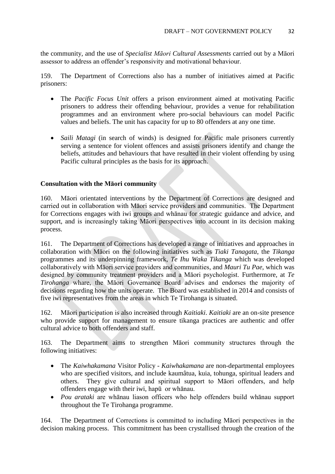the community, and the use of *Specialist Māori Cultural Assessments* carried out by a Māori assessor to address an offender's responsivity and motivational behaviour.

159. The Department of Corrections also has a number of initiatives aimed at Pacific prisoners:

- The *Pacific Focus Unit* offers a prison environment aimed at motivating Pacific prisoners to address their offending behaviour, provides a venue for rehabilitation programmes and an environment where pro-social behaviours can model Pacific values and beliefs. The unit has capacity for up to 80 offenders at any one time.
- *Saili Matagi* (in search of winds) is designed for Pacific male prisoners currently serving a sentence for violent offences and assists prisoners identify and change the beliefs, attitudes and behaviours that have resulted in their violent offending by using Pacific cultural principles as the basis for its approach.

### **Consultation with the Māori community**

160. Māori orientated interventions by the Department of Corrections are designed and carried out in collaboration with Māori service providers and communities. The Department for Corrections engages with iwi groups and whānau for strategic guidance and advice, and support, and is increasingly taking Māori perspectives into account in its decision making process.

161. The Department of Corrections has developed a range of initiatives and approaches in collaboration with Māori on the following initiatives such as *Tiaki Tanagata*, the *Tikanga* programmes and its underpinning framework, *Te Ihu Waka Tikanga* which was developed collaboratively with Māori service providers and communities, and *Mauri Tu Pae*, which was designed by community treatment providers and a Māori psychologist. Furthermore, at *Te Tirohanga* whare, the Māori Governance Board advises and endorses the majority of decisions regarding how the units operate. The Board was established in 2014 and consists of five iwi representatives from the areas in which Te Tirohanga is situated.

162. Māori participation is also increased through *Kaitiaki*. *Kaitiaki* are an on-site presence who provide support for management to ensure tikanga practices are authentic and offer cultural advice to both offenders and staff.

163. The Department aims to strengthen Māori community structures through the following initiatives:

- The *Kaiwhakamana* Visitor Policy *Kaiwhakamana* are non-departmental employees who are specified visitors, and include kaumâtua, kuia, tohunga, spiritual leaders and others. They give cultural and spiritual support to Māori offenders, and help offenders engage with their iwi, hapū or whānau.
- *Pou arataki* are whānau liason officers who help offenders build whānau support throughout the Te Tirohanga programme.

164. The Department of Corrections is committed to including Māori perspectives in the decision making process. This commitment has been crystallised through the creation of the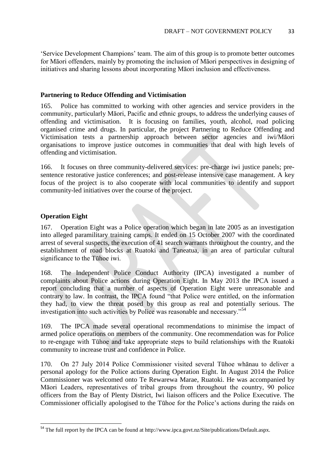'Service Development Champions' team. The aim of this group is to promote better outcomes for Māori offenders, mainly by promoting the inclusion of Māori perspectives in designing of initiatives and sharing lessons about incorporating Māori inclusion and effectiveness.

#### **Partnering to Reduce Offending and Victimisation**

165. Police has committed to working with other agencies and service providers in the community, particularly Māori, Pacific and ethnic groups, to address the underlying causes of offending and victimisation. It is focusing on families, youth, alcohol, road policing organised crime and drugs. In particular, the project Partnering to Reduce Offending and Victimisation tests a partnership approach between sector agencies and iwi/Māori organisations to improve justice outcomes in communities that deal with high levels of offending and victimisation.

166. It focuses on three community-delivered services: pre-charge iwi justice panels; presentence restorative justice conferences; and post-release intensive case management. A key focus of the project is to also cooperate with local communities to identify and support community-led initiatives over the course of the project.

### **Operation Eight**

**.** 

167. Operation Eight was a Police operation which began in late 2005 as an investigation into alleged paramilitary training camps. It ended on 15 October 2007 with the coordinated arrest of several suspects, the execution of 41 search warrants throughout the country, and the establishment of road blocks at Ruatoki and Taneatua, in an area of particular cultural significance to the Tūhoe iwi.

168. The Independent Police Conduct Authority (IPCA) investigated a number of complaints about Police actions during Operation Eight. In May 2013 the IPCA issued a report concluding that a number of aspects of Operation Eight were unreasonable and contrary to law. In contrast, the IPCA found "that Police were entitled, on the information they had, to view the threat posed by this group as real and potentially serious. The investigation into such activities by Police was reasonable and necessary."<sup>54</sup>

169. The IPCA made several operational recommendations to minimise the impact of armed police operations on members of the community. One recommendation was for Police to re-engage with Tūhoe and take appropriate steps to build relationships with the Ruatoki community to increase trust and confidence in Police.

170. On 27 July 2014 Police Commissioner visited several Tūhoe whānau to deliver a personal apology for the Police actions during Operation Eight. In August 2014 the Police Commissioner was welcomed onto Te Rewarewa Marae, Ruatoki. He was accompanied by Māori Leaders, representatives of tribal groups from throughout the country, 90 police officers from the Bay of Plenty District, Iwi liaison officers and the Police Executive. The Commissioner officially apologised to the Tūhoe for the Police's actions during the raids on

<sup>&</sup>lt;sup>54</sup> The full report by the IPCA can be found at http://www.ipca.govt.nz/Site/publications/Default.aspx.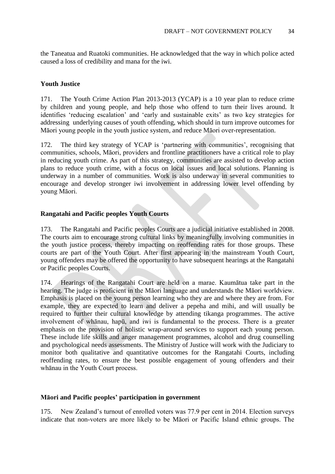the Taneatua and Ruatoki communities. He acknowledged that the way in which police acted caused a loss of credibility and mana for the iwi.

#### **Youth Justice**

171. The Youth Crime Action Plan 2013-2013 (YCAP) is a 10 year plan to reduce crime by children and young people, and help those who offend to turn their lives around. It identifies 'reducing escalation' and 'early and sustainable exits' as two key strategies for addressing underlying causes of youth offending, which should in turn improve outcomes for Māori young people in the youth justice system, and reduce Māori over-representation.

172. The third key strategy of YCAP is 'partnering with communities', recognising that communities, schools, Māori, providers and frontline practitioners have a critical role to play in reducing youth crime. As part of this strategy, communities are assisted to develop action plans to reduce youth crime, with a focus on local issues and local solutions. Planning is underway in a number of communities. Work is also underway in several communities to encourage and develop stronger iwi involvement in addressing lower level offending by young Māori.

#### **Rangatahi and Pacific peoples Youth Courts**

173. The Rangatahi and Pacific peoples Courts are a judicial initiative established in 2008. The courts aim to encourage strong cultural links by meaningfully involving communities in the youth justice process, thereby impacting on reoffending rates for those groups. These courts are part of the Youth Court. After first appearing in the mainstream Youth Court, young offenders may be offered the opportunity to have subsequent hearings at the Rangatahi or Pacific peoples Courts.

174. Hearings of the Rangatahi Court are held on a marae. Kaumātua take part in the hearing. The judge is proficient in the Māori language and understands the Māori worldview. Emphasis is placed on the young person learning who they are and where they are from. For example, they are expected to learn and deliver a pepeha and mihi, and will usually be required to further their cultural knowledge by attending tikanga programmes. The active involvement of whānau, hapū, and iwi is fundamental to the process. There is a greater emphasis on the provision of holistic wrap-around services to support each young person. These include life skills and anger management programmes, alcohol and drug counselling and psychological needs assessments. The Ministry of Justice will work with the Judiciary to monitor both qualitative and quantitative outcomes for the Rangatahi Courts, including reoffending rates, to ensure the best possible engagement of young offenders and their whānau in the Youth Court process.

#### **Māori and Pacific peoples' participation in government**

175. New Zealand's turnout of enrolled voters was 77.9 per cent in 2014. Election surveys indicate that non-voters are more likely to be Māori or Pacific Island ethnic groups. The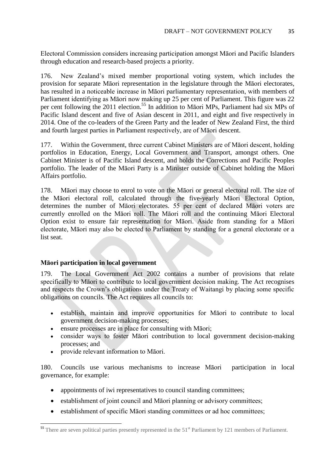Electoral Commission considers increasing participation amongst Māori and Pacific Islanders through education and research-based projects a priority.

176. New Zealand's mixed member proportional voting system, which includes the provision for separate Māori representation in the legislature through the Māori electorates, has resulted in a noticeable increase in Māori parliamentary representation, with members of Parliament identifying as Māori now making up 25 per cent of Parliament. This figure was 22 per cent following the 2011 election.<sup>55</sup> In addition to Māori MPs, Parliament had six MPs of Pacific Island descent and five of Asian descent in 2011, and eight and five respectively in 2014. One of the co-leaders of the Green Party and the leader of New Zealand First, the third and fourth largest parties in Parliament respectively, are of Māori descent.

177. Within the Government, three current Cabinet Ministers are of Māori descent, holding portfolios in Education, Energy, Local Government and Transport, amongst others. One Cabinet Minister is of Pacific Island descent, and holds the Corrections and Pacific Peoples portfolio. The leader of the Māori Party is a Minister outside of Cabinet holding the Māori Affairs portfolio.

178. Māori may choose to enrol to vote on the Māori or general electoral roll. The size of the Māori electoral roll, calculated through the five-yearly Māori Electoral Option, determines the number of Māori electorates. 55 per cent of declared Māori voters are currently enrolled on the Māori roll. The Māori roll and the continuing Māori Electoral Option exist to ensure fair representation for Māori. Aside from standing for a Māori electorate, Māori may also be elected to Parliament by standing for a general electorate or a list seat.

### **Māori participation in local government**

179. The Local Government Act 2002 contains a number of provisions that relate specifically to Māori to contribute to local government decision making. The Act recognises and respects the Crown's obligations under the Treaty of Waitangi by placing some specific obligations on councils. The Act requires all councils to:

- establish, maintain and improve opportunities for Māori to contribute to local government decision-making processes;
- ensure processes are in place for consulting with Māori;
- consider ways to foster Māori contribution to local government decision-making processes; and
- provide relevant information to Māori.

**.** 

180. Councils use various mechanisms to increase Māori participation in local governance, for example:

- appointments of iwi representatives to council standing committees;
- establishment of joint council and Māori planning or advisory committees;
- establishment of specific Māori standing committees or ad hoc committees;

<sup>&</sup>lt;sup>55</sup> There are seven political parties presently represented in the 51<sup>st</sup> Parliament by 121 members of Parliament.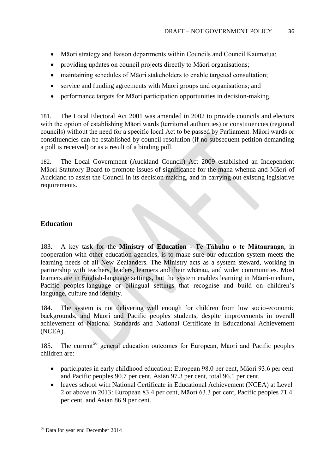- Māori strategy and liaison departments within Councils and Council Kaumatua;
- providing updates on council projects directly to Māori organisations;
- maintaining schedules of Māori stakeholders to enable targeted consultation;
- service and funding agreements with Māori groups and organisations; and
- performance targets for Māori participation opportunities in decision-making.

181. The Local Electoral Act 2001 was amended in 2002 to provide councils and electors with the option of establishing Māori wards (territorial authorities) or constituencies (regional councils) without the need for a specific local Act to be passed by Parliament. Māori wards or constituencies can be established by council resolution (if no subsequent petition demanding a poll is received) or as a result of a binding poll.

182. The Local Government (Auckland Council) Act 2009 established an Independent Māori Statutory Board to promote issues of significance for the mana whenua and Māori of Auckland to assist the Council in its decision making, and in carrying out existing legislative requirements.

# **Education**

183. A key task for the **Ministry of Education - Te Tāhuhu o te Mātauranga**, in cooperation with other education agencies, is to make sure our education system meets the learning needs of all New Zealanders. The Ministry acts as a system steward, working in partnership with teachers, leaders, learners and their whānau, and wider communities. Most learners are in English-language settings, but the system enables learning in Māori-medium, Pacific peoples-language or bilingual settings that recognise and build on children's language, culture and identity.

184. The system is not delivering well enough for children from low socio-economic backgrounds, and Māori and Pacific peoples students, despite improvements in overall achievement of National Standards and National Certificate in Educational Achievement (NCEA).

185. The current<sup>56</sup> general education outcomes for European, Māori and Pacific peoples children are:

- participates in early childhood education: European 98.0 per cent, Māori 93.6 per cent and Pacific peoples 90.7 per cent, Asian 97.3 per cent, total 96.1 per cent.
- leaves school with National Certificate in Educational Achievement (NCEA) at Level 2 or above in 2013: European 83.4 per cent, Māori 63.3 per cent, Pacific peoples 71.4 per cent, and Asian 86.9 per cent.

**<sup>.</sup>** <sup>56</sup> Data for year end December 2014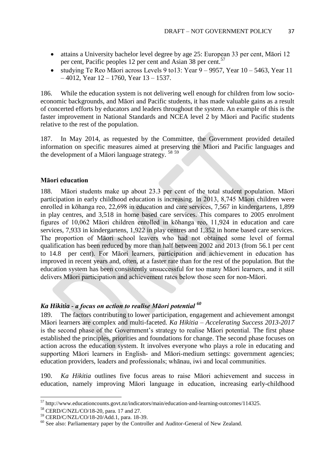- attains a University bachelor level degree by age 25: European 33 per cent, Māori 12 per cent, Pacific peoples 12 per cent and Asian 38 per cent.<sup>57</sup>
- studying Te Reo Māori across Levels 9 to 13: Year  $9 9957$ , Year  $10 5463$ , Year 11  $-4012$ , Year  $12 - 1760$ , Year  $13 - 1537$ .

186. While the education system is not delivering well enough for children from low socioeconomic backgrounds, and Māori and Pacific students, it has made valuable gains as a result of concerted efforts by educators and leaders throughout the system. An example of this is the faster improvement in National Standards and NCEA level 2 by Māori and Pacific students relative to the rest of the population.

187. In May 2014, as requested by the Committee, the Government provided detailed information on specific measures aimed at preserving the Māori and Pacific languages and the development of a Māori language strategy. <sup>58</sup> <sup>59</sup>

#### **Māori education**

188. Māori students make up about 23.3 per cent of the total student population. Māori participation in early childhood education is increasing. In 2013, 8,745 Māori children were enrolled in kōhanga reo, 22,698 in education and care services, 7,567 in kindergartens, 1,899 in play centres, and 3,518 in home based care services. This compares to 2005 enrolment figures of 10,062 Māori children enrolled in kōhanga reo, 11,924 in education and care services, 7,933 in kindergartens, 1,922 in play centres and 1,352 in home based care services. The proportion of Māori school leavers who had not obtained some level of formal qualification has been reduced by more than half between 2002 and 2013 (from 56.1 per cent to 14.8 per cent). For Māori learners, participation and achievement in education has improved in recent years and, often, at a faster rate than for the rest of the population. But the education system has been consistently unsuccessful for too many Māori learners, and it still delivers Māori participation and achievement rates below those seen for non-Māori.

### *Ka Hikitia - a focus on action to realise Māori potential <sup>60</sup>*

189. The factors contributing to lower participation, engagement and achievement amongst Māori learners are complex and multi-faceted. *Ka Hikitia – Accelerating Success 2013-2017* is the second phase of the Government's strategy to realise Māori potential. The first phase established the principles, priorities and foundations for change. The second phase focuses on action across the education system. It involves everyone who plays a role in educating and supporting Māori learners in English- and Māori-medium settings: government agencies; education providers, leaders and professionals; whānau, iwi and local communities.

190. *Ka Hikitia* outlines five focus areas to raise Māori achievement and success in education, namely improving Māori language in education, increasing early-childhood

1

 $57$  http://www.educationcounts.govt.nz/indicators/main/education-and-learning-outcomes/114325.

<sup>58</sup> CERD/C/NZL/CO/18-20, para. 17 and 27.

<sup>59</sup> CERD/C/NZL/CO/18-20/Add.1, para. 18-39.

<sup>&</sup>lt;sup>60</sup> See also: Parliamentary paper by the Controller and Auditor-General of New Zealand.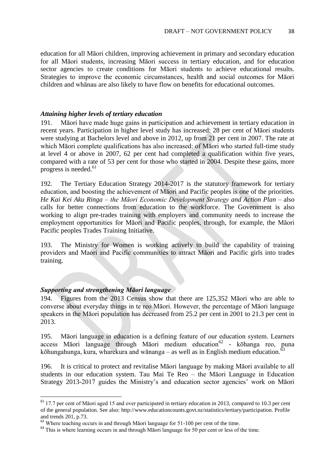education for all Māori children, improving achievement in primary and secondary education for all Māori students, increasing Māori success in tertiary education, and for education sector agencies to create conditions for Māori students to achieve educational results. Strategies to improve the economic circumstances, health and social outcomes for Māori children and whānau are also likely to have flow on benefits for educational outcomes.

#### *Attaining higher levels of tertiary education*

191. Māori have made huge gains in participation and achievement in tertiary education in recent years. Participation in higher level study has increased: 28 per cent of Māori students were studying at Bachelors level and above in 2012, up from 21 per cent in 2007. The rate at which Māori complete qualifications has also increased: of Māori who started full-time study at level 4 or above in 2007, 62 per cent had completed a qualification within five years, compared with a rate of 53 per cent for those who started in 2004. Despite these gains, more progress is needed. $61$ 

192. The Tertiary Education Strategy 2014-2017 is the statutory framework for tertiary education, and boosting the achievement of Māori and Pacific peoples is one of the priorities. *He Kai Kei Aku Ringa* – *the Māori Economic Development Strategy and Action Plan* – also calls for better connections from education to the workforce. The Government is also working to align pre-trades training with employers and community needs to increase the employment opportunities for Māori and Pacific peoples, through, for example, the Māori Pacific peoples Trades Training Initiative.

193. The Ministry for Women is working actively to build the capability of training providers and Maori and Pacific communities to attract Māori and Pacific girls into trades training.

### *Supporting and strengthening Māori language*

1

194. Figures from the 2013 Census show that there are 125,352 Māori who are able to converse about everyday things in te reo Māori. However, the percentage of Māori language speakers in the Māori population has decreased from 25.2 per cent in 2001 to 21.3 per cent in 2013.

195. Māori language in education is a defining feature of our education system. Learners access Māori language through Māori medium education<sup>62</sup> - kōhanga reo, puna kōhungahunga, kura, wharekura and wānanga – as well as in English medium education.<sup>63</sup>

196. It is critical to protect and revitalise Māori language by making Māori available to all students in our education system. Tau Mai Te Reo – the Māori Language in Education Strategy 2013-2017 guides the Ministry's and education sector agencies' work on Māori

 $61$  17.7 per cent of Māori aged 15 and over participated in tertiary education in 2013, compared to 10.3 per cent of the general population. See also: [http://www.educationcounts.govt.nz/statistics/tertiary/participation.](http://www.educationcounts.govt.nz/statistics/tertiary/participation) Profile and trends 201, p.73.

<sup>&</sup>lt;sup>62</sup> Where teaching occurs in and through Māori language for 51-100 per cent of the time.

<sup>&</sup>lt;sup>63</sup> This is where learning occurs in and through Māori language for 50 per cent or less of the time.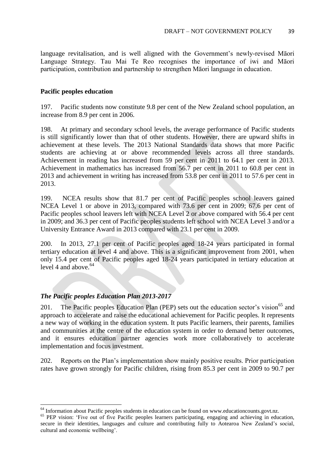language revitalisation, and is well aligned with the Government's newly-revised Māori Language Strategy. Tau Mai Te Reo recognises the importance of iwi and Māori participation, contribution and partnership to strengthen Māori language in education.

#### **Pacific peoples education**

197. Pacific students now constitute 9.8 per cent of the New Zealand school population, an increase from 8.9 per cent in 2006.

198. At primary and secondary school levels, the average performance of Pacific students is still significantly lower than that of other students. However, there are upward shifts in achievement at these levels. The 2013 National Standards data shows that more Pacific students are achieving at or above recommended levels across all three standards. Achievement in reading has increased from 59 per cent in 2011 to 64.1 per cent in 2013. Achievement in mathematics has increased from 56.7 per cent in 2011 to 60.8 per cent in 2013 and achievement in writing has increased from 53.8 per cent in 2011 to 57.6 per cent in 2013.

199. NCEA results show that 81.7 per cent of Pacific peoples school leavers gained NCEA Level 1 or above in 2013, compared with 73.6 per cent in 2009; 67.6 per cent of Pacific peoples school leavers left with NCEA Level 2 or above compared with 56.4 per cent in 2009; and 36.3 per cent of Pacific peoples students left school with NCEA Level 3 and/or a University Entrance Award in 2013 compared with 23.1 per cent in 2009.

200. In 2013, 27.1 per cent of Pacific peoples aged 18-24 years participated in formal tertiary education at level 4 and above. This is a significant improvement from 2001, when only 15.4 per cent of Pacific peoples aged 18-24 years participated in tertiary education at level 4 and above. $64$ 

### *The Pacific peoples Education Plan 2013-2017*

**.** 

201. The Pacific peoples Education Plan (PEP) sets out the education sector's vision<sup>65</sup> and approach to accelerate and raise the educational achievement for Pacific peoples. It represents a new way of working in the education system. It puts Pacific learners, their parents, families and communities at the centre of the education system in order to demand better outcomes, and it ensures education partner agencies work more collaboratively to accelerate implementation and focus investment.

202. Reports on the Plan's implementation show mainly positive results. Prior participation rates have grown strongly for Pacific children, rising from 85.3 per cent in 2009 to 90.7 per

 $64$  Information about Pacific peoples students in education can be found on www.educationcounts.govt.nz.

<sup>&</sup>lt;sup>65</sup> PEP vision: 'Five out of five Pacific peoples learners participating, engaging and achieving in education, secure in their identities, languages and culture and contributing fully to Aotearoa New Zealand's social, cultural and economic wellbeing'.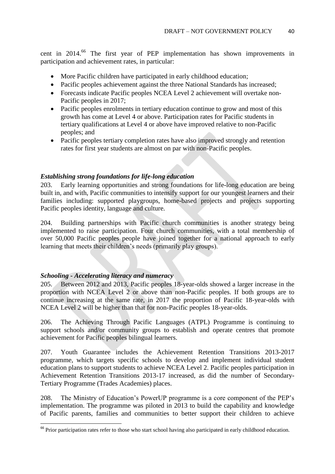cent in 2014.<sup>66</sup> The first year of PEP implementation has shown improvements in participation and achievement rates, in particular:

- More Pacific children have participated in early childhood education;
- Pacific peoples achievement against the three National Standards has increased;
- Forecasts indicate Pacific peoples NCEA Level 2 achievement will overtake non-Pacific peoples in 2017;
- Pacific peoples enrolments in tertiary education continue to grow and most of this growth has come at Level 4 or above. Participation rates for Pacific students in tertiary qualifications at Level 4 or above have improved relative to non-Pacific peoples; and
- Pacific peoples tertiary completion rates have also improved strongly and retention rates for first year students are almost on par with non-Pacific peoples.

### *Establishing strong foundations for life-long education*

203. Early learning opportunities and strong foundations for life-long education are being built in, and with, Pacific communities to intensify support for our youngest learners and their families including: supported playgroups, home-based projects and projects supporting Pacific peoples identity, language and culture.

204. Building partnerships with Pacific church communities is another strategy being implemented to raise participation. Four church communities, with a total membership of over 50,000 Pacific peoples people have joined together for a national approach to early learning that meets their children's needs (primarily play groups).

### *Schooling - Accelerating literacy and numeracy*

**.** 

205. Between 2012 and 2013, Pacific peoples 18-year-olds showed a larger increase in the proportion with NCEA Level 2 or above than non-Pacific peoples. If both groups are to continue increasing at the same rate, in 2017 the proportion of Pacific 18-year-olds with NCEA Level 2 will be higher than that for non-Pacific peoples 18-year-olds.

206. The Achieving Through Pacific Languages (ATPL) Programme is continuing to support schools and/or community groups to establish and operate centres that promote achievement for Pacific peoples bilingual learners.

207. Youth Guarantee includes the Achievement Retention Transitions 2013-2017 programme, which targets specific schools to develop and implement individual student education plans to support students to achieve NCEA Level 2. Pacific peoples participation in Achievement Retention Transitions 2013-17 increased, as did the number of Secondary-Tertiary Programme (Trades Academies) places.

208. The Ministry of Education's PowerUP programme is a core component of the PEP's implementation. The programme was piloted in 2013 to build the capability and knowledge of Pacific parents, families and communities to better support their children to achieve

<sup>&</sup>lt;sup>66</sup> Prior participation rates refer to those who start school having also participated in early childhood education.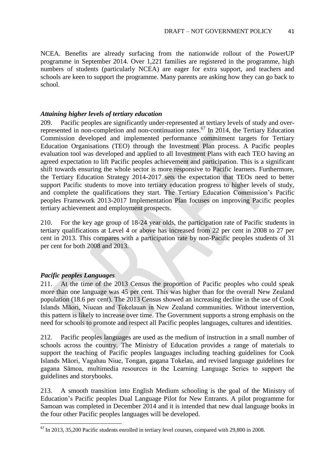NCEA. Benefits are already surfacing from the nationwide rollout of the PowerUP programme in September 2014. Over 1,221 families are registered in the programme, high numbers of students (particularly NCEA) are eager for extra support, and teachers and schools are keen to support the programme. Many parents are asking how they can go back to school.

#### *Attaining higher levels of tertiary education*

209. Pacific peoples are significantly under-represented at tertiary levels of study and overrepresented in non-completion and non-continuation rates.<sup>67</sup> In 2014, the Tertiary Education Commission developed and implemented performance commitment targets for Tertiary Education Organisations (TEO) through the Investment Plan process. A Pacific peoples evaluation tool was developed and applied to all Investment Plans with each TEO having an agreed expectation to lift Pacific peoples achievement and participation. This is a significant shift towards ensuring the whole sector is more responsive to Pacific learners. Furthermore, the Tertiary Education Strategy 2014-2017 sets the expectation that TEOs need to better support Pacific students to move into tertiary education progress to higher levels of study, and complete the qualifications they start. The Tertiary Education Commission's Pacific peoples Framework 2013-2017 Implementation Plan focuses on improving Pacific peoples tertiary achievement and employment prospects.

210. For the key age group of 18-24 year olds, the participation rate of Pacific students in tertiary qualifications at Level 4 or above has increased from 22 per cent in 2008 to 27 per cent in 2013. This compares with a participation rate by non-Pacific peoples students of 31 per cent for both 2008 and 2013.

#### *Pacific peoples Languages*

**.** 

211. At the time of the 2013 Census the proportion of Pacific peoples who could speak more than one language was 45 per cent. This was higher than for the overall New Zealand population (18.6 per cent). The 2013 Census showed an increasing decline in the use of Cook Islands Māori, Niuean and Tokelauan in New Zealand communities. Without intervention, this pattern is likely to increase over time. The Government supports a strong emphasis on the need for schools to promote and respect all Pacific peoples languages, cultures and identities.

212. Pacific peoples languages are used as the medium of instruction in a small number of schools across the country. The Ministry of Education provides a range of materials to support the teaching of Pacific peoples languages including teaching guidelines for Cook Islands Māori, Vagahau Niue, Tongan, gagana Tokelau, and revised language guidelines for gagana Sāmoa, multimedia resources in the Learning Language Series to support the guidelines and storybooks.

213. A smooth transition into English Medium schooling is the goal of the Ministry of Education's Pacific peoples Dual Language Pilot for New Entrants. A pilot programme for Samoan was completed in December 2014 and it is intended that new dual language books in the four other Pacific peoples languages will be developed.

 $^{67}$  In 2013, 35,200 Pacific students enrolled in tertiary level courses, compared with 29,800 in 2008.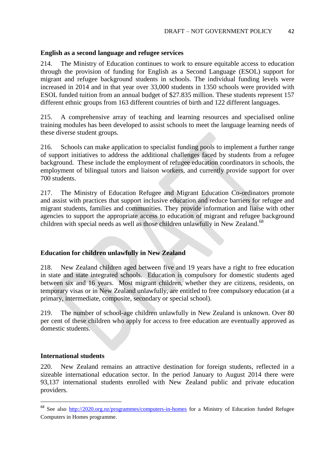#### **English as a second language and refugee services**

214. The Ministry of Education continues to work to ensure equitable access to education through the provision of funding for English as a Second Language (ESOL) support for migrant and refugee background students in schools. The individual funding levels were increased in 2014 and in that year over 33,000 students in 1350 schools were provided with ESOL funded tuition from an annual budget of \$27.835 million. These students represent 157 different ethnic groups from 163 different countries of birth and 122 different languages.

215. A comprehensive array of teaching and learning resources and specialised online training modules has been developed to assist schools to meet the language learning needs of these diverse student groups.

216. Schools can make application to specialist funding pools to implement a further range of support initiatives to address the additional challenges faced by students from a refugee background. These include the employment of refugee education coordinators in schools, the employment of bilingual tutors and liaison workers, and currently provide support for over 700 students.

217. The Ministry of Education Refugee and Migrant Education Co-ordinators promote and assist with practices that support inclusive education and reduce barriers for refugee and migrant students, families and communities. They provide information and liaise with other agencies to support the appropriate access to education of migrant and refugee background children with special needs as well as those children unlawfully in New Zealand.<sup>68</sup>

### **Education for children unlawfully in New Zealand**

218. New Zealand children aged between five and 19 years have a right to free education in state and state integrated schools. Education is compulsory for domestic students aged between six and 16 years. Most migrant children, whether they are citizens, residents, on temporary visas or in New Zealand unlawfully, are entitled to free compulsory education (at a primary, intermediate, composite, secondary or special school).

219. The number of school-age children unlawfully in New Zealand is unknown. Over 80 per cent of these children who apply for access to free education are eventually approved as domestic students.

#### **International students**

1

220. New Zealand remains an attractive destination for foreign students, reflected in a sizeable international education sector. In the period January to August 2014 there were 93,137 international students enrolled with New Zealand public and private education providers.

<sup>&</sup>lt;sup>68</sup> See also <http://2020.org.nz/programmes/computers-in-homes> for a Ministry of Education funded Refugee Computers in Homes programme.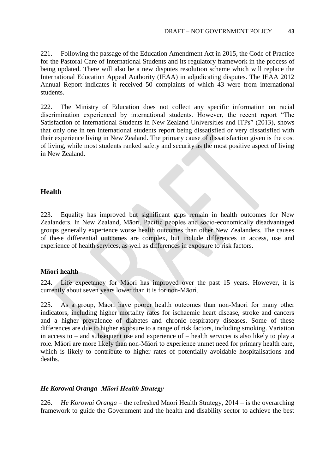221. Following the passage of the Education Amendment Act in 2015, the Code of Practice for the Pastoral Care of International Students and its regulatory framework in the process of being updated. There will also be a new disputes resolution scheme which will replace the International Education Appeal Authority (IEAA) in adjudicating disputes. The IEAA 2012 Annual Report indicates it received 50 complaints of which 43 were from international students.

222. The Ministry of Education does not collect any specific information on racial discrimination experienced by international students. However, the recent report "The Satisfaction of International Students in New Zealand Universities and ITPs" (2013), shows that only one in ten international students report being dissatisfied or very dissatisfied with their experience living in New Zealand. The primary cause of dissatisfaction given is the cost of living, while most students ranked safety and security as the most positive aspect of living in New Zealand.

### **Health**

223. Equality has improved but significant gaps remain in health outcomes for New Zealanders. In New Zealand, Māori, Pacific peoples and socio-economically disadvantaged groups generally experience worse health outcomes than other New Zealanders. The causes of these differential outcomes are complex, but include differences in access, use and experience of health services, as well as differences in exposure to risk factors.

#### **Māori health**

224. Life expectancy for Māori has improved over the past 15 years. However, it is currently about seven years lower than it is for non-Māori.

225. As a group, Māori have poorer health outcomes than non-Māori for many other indicators, including higher mortality rates for ischaemic heart disease, stroke and cancers and a higher prevalence of diabetes and chronic respiratory diseases. Some of these differences are due to higher exposure to a range of risk factors, including smoking. Variation in access to – and subsequent use and experience of – health services is also likely to play a role. Māori are more likely than non-Māori to experience unmet need for primary health care, which is likely to contribute to higher rates of potentially avoidable hospitalisations and deaths.

#### *He Korowai Oranga- Māori Health Strategy*

226. *He Korowai Oranga* – the refreshed Māori Health Strategy, 2014 – is the overarching framework to guide the Government and the health and disability sector to achieve the best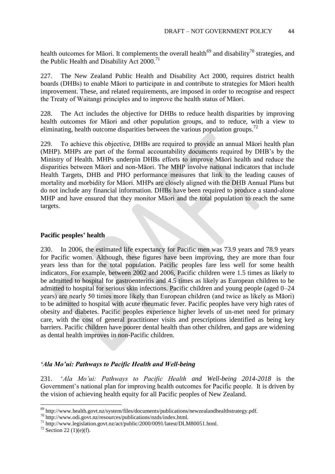health outcomes for Māori. It complements the overall health<sup>69</sup> and disability<sup>70</sup> strategies, and the Public Health and Disability Act 2000.<sup>71</sup>

227. The New Zealand Public Health and Disability Act 2000, requires district health boards (DHBs) to enable Māori to participate in and contribute to strategies for Māori health improvement. These, and related requirements, are imposed in order to recognise and respect the Treaty of Waitangi principles and to improve the health status of Māori.

228. The Act includes the objective for DHBs to reduce health disparities by improving health outcomes for Māori and other population groups, and to reduce, with a view to eliminating, health outcome disparities between the various population groups.<sup>72</sup>

229. To achieve this objective, DHBs are required to provide an annual Māori health plan (MHP). MHPs are part of the formal accountability documents required by DHB's by the Ministry of Health. MHPs underpin DHBs efforts to improve Māori health and reduce the disparities between Māori and non-Māori. The MHP involve national indicators that include Health Targets, DHB and PHO performance measures that link to the leading causes of mortality and morbidity for Māori. MHPs are closely aligned with the DHB Annual Plans but do not include any financial information. DHBs have been required to produce a stand-alone MHP and have ensured that they monitor Māori and the total population to reach the same targets.

#### **Pacific peoples' health**

230. In 2006, the estimated life expectancy for Pacific men was 73.9 years and 78.9 years for Pacific women. Although, these figures have been improving, they are more than four years less than for the total population. Pacific peoples fare less well for some health indicators. For example, between 2002 and 2006, Pacific children were 1.5 times as likely to be admitted to hospital for gastroenteritis and 4.5 times as likely as European children to be admitted to hospital for serious skin infections. Pacific children and young people (aged 0–24 years) are nearly 50 times more likely than European children (and twice as likely as Māori) to be admitted to hospital with acute rheumatic fever. Pacific peoples have very high rates of obesity and diabetes. Pacific peoples experience higher levels of un-met need for primary care, with the cost of general practitioner visits and prescriptions identified as being key barriers. Pacific children have poorer dental health than other children, and gaps are widening as dental health improves in non-Pacific children.

### *'Ala Mo'ui: Pathways to Pacific Health and Well-being*

231. '*Ala Mo'ui: Pathways to Pacific Health and Well-being 2014-2018* is the Government's national plan for improving health outcomes for Pacific people. It is driven by the vision of achieving health equity for all Pacific peoples of New Zealand.

 $69$  http://www.health.govt.nz/system/files/documents/publications/newzealandhealthstrategy.pdf.

<sup>70</sup> http://www.odi.govt.nz/resources/publications/nzds/index.html.

<sup>&</sup>lt;sup>71</sup> http://www.legislation.govt.nz/act/public/2000/0091/latest/DLM80051.html.

 $72$  Section 22 (1)(e)(f).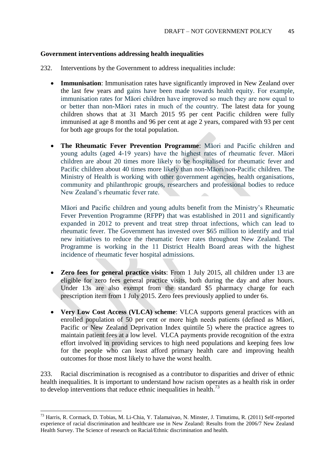#### **Government interventions addressing health inequalities**

- 232. Interventions by the Government to address inequalities include:
	- **Immunisation**: Immunisation rates have significantly improved in New Zealand over the last few years and gains have been made towards health equity. For example, immunisation rates for Māori children have improved so much they are now equal to or better than non-Māori rates in much of the country. The latest data for young children shows that at 31 March 2015 95 per cent Pacific children were fully immunised at age 8 months and 96 per cent at age 2 years, compared with 93 per cent for both age groups for the total population.
	- **The Rheumatic Fever Prevention Programme**: Māori and Pacific children and young adults (aged 4-19 years) have the highest rates of rheumatic fever. Māori children are about 20 times more likely to be hospitalised for rheumatic fever and Pacific children about 40 times more likely than non-Māori/non-Pacific children. The Ministry of Health is working with other government agencies, health organisations, community and philanthropic groups, researchers and professional bodies to reduce New Zealand's rheumatic fever rate.

Māori and Pacific children and young adults benefit from the Ministry's Rheumatic Fever Prevention Programme (RFPP) that was established in 2011 and significantly expanded in 2012 to prevent and treat strep throat infections, which can lead to rheumatic fever. The Government has invested over \$65 million to identify and trial new initiatives to reduce the rheumatic fever rates throughout New Zealand. The Programme is working in the 11 District Health Board areas with the highest incidence of rheumatic fever hospital admissions.

- **Zero fees for general practice visits**: From 1 July 2015, all children under 13 are eligible for zero fees general practice visits, both during the day and after hours. Under 13s are also exempt from the standard \$5 pharmacy charge for each prescription item from 1 July 2015. Zero fees previously applied to under 6s.
- **Very Low Cost Access (VLCA) scheme**: VLCA supports general practices with an enrolled population of 50 per cent or more high needs patients (defined as Māori, Pacific or New Zealand Deprivation Index quintile 5) where the practice agrees to maintain patient fees at a low level. VLCA payments provide recognition of the extra effort involved in providing services to high need populations and keeping fees low for the people who can least afford primary health care and improving health outcomes for those most likely to have the worst health.

233. Racial discrimination is recognised as a contributor to disparities and driver of ethnic health inequalities. It is important to understand how racism operates as a health risk in order to develop interventions that reduce ethnic inequalities in health.<sup>73</sup>

1

<sup>73</sup> Harris, R. Cormack, D. Tobias, M. Li-Chia, Y. Talamaivao, N. Minster, J. Timutimu, R. (2011) Self-reported experience of racial discrimination and healthcare use in New Zealand: Results from the 2006/7 New Zealand Health Survey. The Science of research on Racial/Ethnic discrimination and health.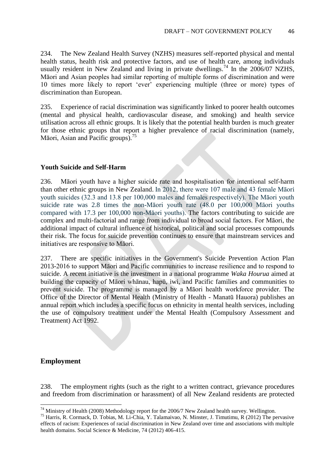234. The New Zealand Health Survey (NZHS) measures self-reported physical and mental health status, health risk and protective factors, and use of health care, among individuals usually resident in New Zealand and living in private dwellings.<sup>74</sup> In the  $2006/07$  NZHS, Māori and Asian peoples had similar reporting of multiple forms of discrimination and were 10 times more likely to report 'ever' experiencing multiple (three or more) types of discrimination than European.

235. Experience of racial discrimination was significantly linked to poorer health outcomes (mental and physical health, cardiovascular disease, and smoking) and health service utilisation across all ethnic groups. It is likely that the potential health burden is much greater for those ethnic groups that report a higher prevalence of racial discrimination (namely, Māori, Asian and Pacific groups).<sup>75</sup>

### **Youth Suicide and Self-Harm**

236. Māori youth have a higher suicide rate and hospitalisation for intentional self-harm than other ethnic groups in New Zealand. In 2012, there were 107 male and 43 female Māori youth suicides (32.3 and 13.8 per 100,000 males and females respectively). The Māori youth suicide rate was 2.8 times the non-Māori youth rate (48.0 per 100,000 Māori youths compared with 17.3 per 100,000 non-Māori youths). The factors contributing to suicide are complex and multi-factorial and range from individual to broad social factors. For Māori, the additional impact of cultural influence of historical, political and social processes compounds their risk. The focus for suicide prevention continues to ensure that mainstream services and initiatives are responsive to Māori.

237. There are specific initiatives in the Government's Suicide Prevention Action Plan 2013-2016 to support Māori and Pacific communities to increase resilience and to respond to suicide. A recent initiative is the investment in a national programme *Waka Hourua* aimed at building the capacity of Māori whānau, hapū, iwi, and Pacific families and communities to prevent suicide. The programme is managed by a Māori health workforce provider. The Office of the Director of Mental Health (Ministry of Health - Manatū Hauora) publishes an annual report which includes a specific focus on ethnicity in mental health services, including the use of compulsory treatment under the Mental Health (Compulsory Assessment and Treatment) Act 1992.

### **Employment**

**.** 

238. The employment rights (such as the right to a written contract, grievance procedures and freedom from discrimination or harassment) of all New Zealand residents are protected

 $^{74}$  Ministry of Health (2008) Methodology report for the 2006/7 New Zealand health survey. Wellington.

<sup>75</sup> Harris, R. Cormack, D. Tobias, M. Li-Chia, Y. Talamaivao, N. Minster, J. Timutimu, R (2012) The pervasive effects of racism: Experiences of racial discrimination in New Zealand over time and associations with multiple health domains. Social Science & Medicine, 74 (2012) 406-415.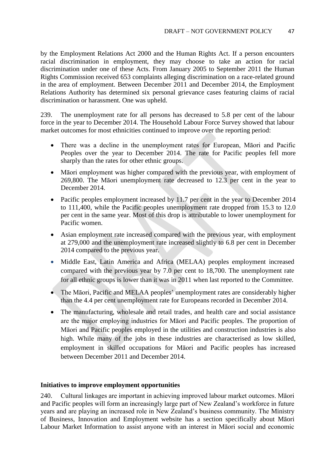by the Employment Relations Act 2000 and the Human Rights Act. If a person encounters racial discrimination in employment, they may choose to take an action for racial discrimination under one of these Acts. From January 2005 to September 2011 the Human Rights Commission received 653 complaints alleging discrimination on a race-related ground in the area of employment. Between December 2011 and December 2014, the Employment Relations Authority has determined six personal grievance cases featuring claims of racial discrimination or harassment. One was upheld.

239. The unemployment rate for all persons has decreased to 5.8 per cent of the labour force in the year to December 2014. The Household Labour Force Survey showed that labour market outcomes for most ethnicities continued to improve over the reporting period:

- There was a decline in the unemployment rates for European, Māori and Pacific Peoples over the year to December 2014. The rate for Pacific peoples fell more sharply than the rates for other ethnic groups.
- Māori employment was higher compared with the previous year, with employment of 269,800. The Māori unemployment rate decreased to 12.3 per cent in the year to December 2014.
- Pacific peoples employment increased by 11.7 per cent in the year to December 2014 to 111,400, while the Pacific peoples unemployment rate dropped from 15.3 to 12.0 per cent in the same year. Most of this drop is attributable to lower unemployment for Pacific women.
- Asian employment rate increased compared with the previous year, with employment at 279,000 and the unemployment rate increased slightly to 6.8 per cent in December 2014 compared to the previous year.
- Middle East, Latin America and Africa (MELAA) peoples employment increased compared with the previous year by 7.0 per cent to 18,700. The unemployment rate for all ethnic groups is lower than it was in 2011 when last reported to the Committee.
- The Māori, Pacific and MELAA peoples' unemployment rates are considerably higher than the 4.4 per cent unemployment rate for Europeans recorded in December 2014.
- The manufacturing, wholesale and retail trades, and health care and social assistance are the major employing industries for Māori and Pacific peoples. The proportion of Māori and Pacific peoples employed in the utilities and construction industries is also high. While many of the jobs in these industries are characterised as low skilled, employment in skilled occupations for Māori and Pacific peoples has increased between December 2011 and December 2014.

### **Initiatives to improve employment opportunities**

240. Cultural linkages are important in achieving improved labour market outcomes. Māori and Pacific peoples will form an increasingly large part of New Zealand's workforce in future years and are playing an increased role in New Zealand's business community. The Ministry of Business, Innovation and Employment website has a section specifically about Māori Labour Market Information to assist anyone with an interest in Māori social and economic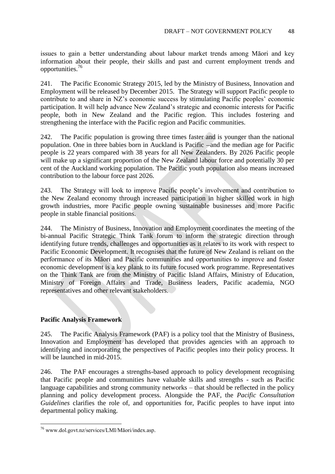issues to gain a better understanding about labour market trends among Māori and key information about their people, their skills and past and current employment trends and opportunities.<sup>76</sup>

241. The Pacific Economic Strategy 2015, led by the Ministry of Business, Innovation and Employment will be released by December 2015. The Strategy will support Pacific people to contribute to and share in NZ's economic success by stimulating Pacific peoples' economic participation. It will help advance New Zealand's strategic and economic interests for Pacific people, both in New Zealand and the Pacific region. This includes fostering and strengthening the interface with the Pacific region and Pacific communities.

242. The Pacific population is growing three times faster and is younger than the national population. One in three babies born in Auckland is Pacific —and the median age for Pacific people is 22 years compared with 38 years for all New Zealanders. By 2026 Pacific people will make up a significant proportion of the New Zealand labour force and potentially 30 per cent of the Auckland working population. The Pacific youth population also means increased contribution to the labour force past 2026.

243. The Strategy will look to improve Pacific people's involvement and contribution to the New Zealand economy through increased participation in higher skilled work in high growth industries, more Pacific people owning sustainable businesses and more Pacific people in stable financial positions.

244. The Ministry of Business, Innovation and Employment coordinates the meeting of the bi-annual Pacific Strategic Think Tank forum to inform the strategic direction through identifying future trends, challenges and opportunities as it relates to its work with respect to Pacific Economic Development. It recognises that the future of New Zealand is reliant on the performance of its Māori and Pacific communities and opportunities to improve and foster economic development is a key plank to its future focused work programme. Representatives on the Think Tank are from the Ministry of Pacific Island Affairs, Ministry of Education, Ministry of Foreign Affairs and Trade, Business leaders, Pacific academia, NGO representatives and other relevant stakeholders.

### **Pacific Analysis Framework**

245. The Pacific Analysis Framework (PAF) is a policy tool that the Ministry of Business, Innovation and Employment has developed that provides agencies with an approach to identifying and incorporating the perspectives of Pacific peoples into their policy process. It will be launched in mid-2015.

246. The PAF encourages a strengths-based approach to policy development recognising that Pacific people and communities have valuable skills and strengths - such as Pacific language capabilities and strong community networks – that should be reflected in the policy planning and policy development process. Alongside the PAF, the *Pacific Consultation Guidelines* clarifies the role of, and opportunities for, Pacific peoples to have input into departmental policy making.

<sup>76</sup> www.dol.govt.nz/services/LMI/Māori/index.asp.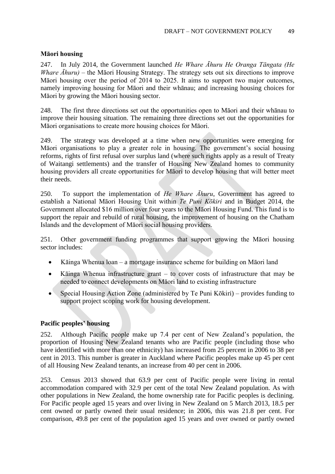### **Māori housing**

247. In July 2014, the Government launched *He Whare Āhuru He Oranga Tāngata (He Whare Āhuru)* – the Māori Housing Strategy. The strategy sets out six directions to improve Māori housing over the period of 2014 to 2025. It aims to support two major outcomes, namely improving housing for Māori and their whānau; and increasing housing choices for Māori by growing the Māori housing sector.

248. The first three directions set out the opportunities open to Māori and their whānau to improve their housing situation. The remaining three directions set out the opportunities for Māori organisations to create more housing choices for Māori.

249. The strategy was developed at a time when new opportunities were emerging for Māori organisations to play a greater role in housing. The government's social housing reforms, rights of first refusal over surplus land (where such rights apply as a result of Treaty of Waitangi settlements) and the transfer of Housing New Zealand homes to community housing providers all create opportunities for Māori to develop housing that will better meet their needs.

250. To support the implementation of *He Whare Āhuru*, Government has agreed to establish a National Māori Housing Unit within *Te Puni Kōkiri* and in Budget 2014, the Government allocated \$16 million over four years to the Māori Housing Fund. This fund is to support the repair and rebuild of rural housing, the improvement of housing on the Chatham Islands and the development of Māori social housing providers.

251. Other government funding programmes that support growing the Māori housing sector includes:

- Kāinga Whenua loan a mortgage insurance scheme for building on Māori land
- Kāinga Whenua infrastructure grant to cover costs of infrastructure that may be needed to connect developments on Māori land to existing infrastructure
- Special Housing Action Zone (administered by Te Puni Kōkiri) provides funding to support project scoping work for housing development.

#### **Pacific peoples' housing**

252. Although Pacific people make up 7.4 per cent of New Zealand's population, the proportion of Housing New Zealand tenants who are Pacific people (including those who have identified with more than one ethnicity) has increased from 25 percent in 2006 to 38 per cent in 2013. This number is greater in Auckland where Pacific peoples make up 45 per cent of all Housing New Zealand tenants, an increase from 40 per cent in 2006.

253. Census 2013 showed that 63.9 per cent of Pacific people were living in rental accommodation compared with 32.9 per cent of the total New Zealand population. As with other populations in New Zealand, the home ownership rate for Pacific peoples is declining. For Pacific people aged 15 years and over living in New Zealand on 5 March 2013, 18.5 per cent owned or partly owned their usual residence; in 2006, this was 21.8 per cent. For comparison, 49.8 per cent of the population aged 15 years and over owned or partly owned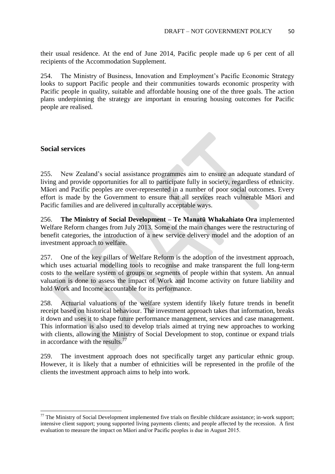their usual residence. At the end of June 2014, Pacific people made up 6 per cent of all recipients of the Accommodation Supplement.

254. The Ministry of Business, Innovation and Employment's Pacific Economic Strategy looks to support Pacific people and their communities towards economic prosperity with Pacific people in quality, suitable and affordable housing one of the three goals. The action plans underpinning the strategy are important in ensuring housing outcomes for Pacific people are realised.

#### **Social services**

1

255. New Zealand's social assistance programmes aim to ensure an adequate standard of living and provide opportunities for all to participate fully in society, regardless of ethnicity. Māori and Pacific peoples are over-represented in a number of poor social outcomes. Every effort is made by the Government to ensure that all services reach vulnerable Māori and Pacific families and are delivered in culturally acceptable ways.

256. **The Ministry of Social Development – Te Manatū Whakahiato Ora** implemented Welfare Reform changes from July 2013. Some of the main changes were the restructuring of benefit categories, the introduction of a new service delivery model and the adoption of an investment approach to welfare.

257. One of the key pillars of Welfare Reform is the adoption of the investment approach, which uses actuarial modelling tools to recognise and make transparent the full long-term costs to the welfare system of groups or segments of people within that system. An annual valuation is done to assess the impact of Work and Income activity on future liability and hold Work and Income accountable for its performance.

258. Actuarial valuations of the welfare system identify likely future trends in benefit receipt based on historical behaviour. The investment approach takes that information, breaks it down and uses it to shape future performance management, services and case management. This information is also used to develop trials aimed at trying new approaches to working with clients, allowing the Ministry of Social Development to stop, continue or expand trials in accordance with the results.<sup>77</sup>

259. The investment approach does not specifically target any particular ethnic group. However, it is likely that a number of ethnicities will be represented in the profile of the clients the investment approach aims to help into work.

 $77$  The Ministry of Social Development implemented five trials on flexible childcare assistance; in-work support; intensive client support; young supported living payments clients; and people affected by the recession. A first evaluation to measure the impact on Māori and/or Pacific peoples is due in August 2015.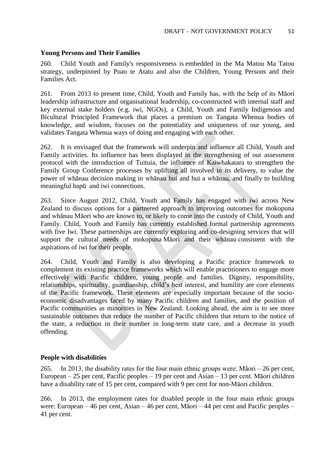#### **Young Persons and Their Families**

260. Child Youth and Family's responsiveness is embedded in the Ma Matou Ma Tatou strategy, underpinned by Puao te Atatu and also the Children, Young Persons and their Families Act.

261. From 2013 to present time, Child, Youth and Family has, with the help of its Māori leadership infrastructure and organisational leadership, co-constructed with internal staff and key external stake holders (e.g. iwi, NGOs), a Child, Youth and Family Indigenous and Bicultural Principled Framework that places a premium on Tangata Whenua bodies of knowledge, and wisdom, focuses on the potentiality and uniqueness of our young, and validates Tangata Whenua ways of doing and engaging with each other.

262. It is envisaged that the framework will underpin and influence all Child, Youth and Family activities. Its influence has been displayed in the strengthening of our assessment protocol with the introduction of Tuituia, the influence of Kaiwhakatara to strengthen the Family Group Conference processes by uplifting all involved in its delivery, to value the power of whānau decision making in whānau hui and hui a whānau, and finally to building meaningful hapū and iwi connections.

263. Since August 2012, Child, Youth and Family has engaged with iwi across New Zealand to discuss options for a partnered approach to improving outcomes for mokopuna and whānau Māori who are known to, or likely to come into the custody of Child, Youth and Family. Child, Youth and Family has currently established formal partnership agreements with five Iwi. These partnerships are currently exploring and co-designing services that will support the cultural needs of mokopuna Māori and their whānau consistent with the aspirations of iwi for their people.

264. Child, Youth and Family is also developing a Pacific practice framework to complement its existing practice frameworks which will enable practitioners to engage more effectively with Pacific children, young people and families. Dignity, responsibility, relationships, spirituality, guardianship, child's best interest, and humility are core elements of the Pacific framework. These elements are especially important because of the socioeconomic disadvantages faced by many Pacific children and families, and the position of Pacific communities as minorities in New Zealand. Looking ahead, the aim is to see more sustainable outcomes that reduce the number of Pacific children that return to the notice of the state, a reduction in their number in long-term state care, and a decrease in youth offending.

#### **People with disabilities**

265. In 2013, the disability rates for the four main ethnic groups were: Māori – 26 per cent, European – 25 per cent, Pacific peoples – 19 per cent and Asian – 13 per cent. Māori children have a disability rate of 15 per cent, compared with 9 per cent for non-Māori children.

266. In 2013, the employment rates for disabled people in the four main ethnic groups were: European – 46 per cent, Asian – 46 per cent, Māori – 44 per cent and Pacific peoples – 41 per cent.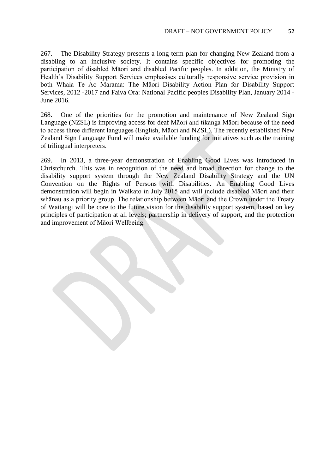267. The Disability Strategy presents a long-term plan for changing New Zealand from a disabling to an inclusive society. It contains specific objectives for promoting the participation of disabled Māori and disabled Pacific peoples. In addition, the Ministry of Health's Disability Support Services emphasises culturally responsive service provision in both Whaia Te Ao Marama: The Māori Disability Action Plan for Disability Support Services, 2012 -2017 and Faiva Ora: National Pacific peoples Disability Plan, January 2014 - June 2016.

268. One of the priorities for the promotion and maintenance of New Zealand Sign Language (NZSL) is improving access for deaf Māori and tikanga Māori because of the need to access three different languages (English, Māori and NZSL). The recently established New Zealand Sign Language Fund will make available funding for initiatives such as the training of trilingual interpreters.

269. In 2013, a three-year demonstration of Enabling Good Lives was introduced in Christchurch. This was in recognition of the need and broad direction for change to the disability support system through the New Zealand Disability Strategy and the UN Convention on the Rights of Persons with Disabilities. An Enabling Good Lives demonstration will begin in Waikato in July 2015 and will include disabled Māori and their whānau as a priority group. The relationship between Māori and the Crown under the Treaty of Waitangi will be core to the future vision for the disability support system, based on key principles of participation at all levels; partnership in delivery of support, and the protection and improvement of Māori Wellbeing.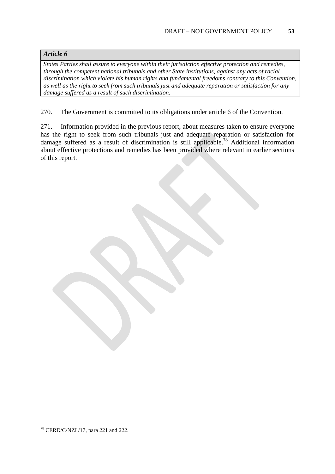### *Article 6*

*States Parties shall assure to everyone within their jurisdiction effective protection and remedies, through the competent national tribunals and other State institutions, against any acts of racial discrimination which violate his human rights and fundamental freedoms contrary to this Convention, as well as the right to seek from such tribunals just and adequate reparation or satisfaction for any damage suffered as a result of such discrimination.* 

270. The Government is committed to its obligations under article 6 of the Convention.

271. Information provided in the previous report, about measures taken to ensure everyone has the right to seek from such tribunals just and adequate reparation or satisfaction for damage suffered as a result of discrimination is still applicable. <sup>78</sup> Additional information about effective protections and remedies has been provided where relevant in earlier sections of this report.

**.**  $78$  CERD/C/NZL/17, para 221 and 222.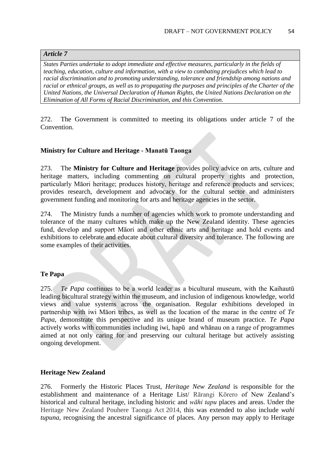### *Article 7*

*States Parties undertake to adopt immediate and effective measures, particularly in the fields of teaching, education, culture and information, with a view to combating prejudices which lead to racial discrimination and to promoting understanding, tolerance and friendship among nations and racial or ethnical groups, as well as to propagating the purposes and principles of the Charter of the United Nations, the Universal Declaration of Human Rights, the United Nations Declaration on the Elimination of All Forms of Racial Discrimination, and this Convention.* 

272. The Government is committed to meeting its obligations under article 7 of the Convention.

#### **Ministry for Culture and Heritage - Manatū Taonga**

273. The **Ministry for Culture and Heritage** provides policy advice on arts, culture and heritage matters, including commenting on cultural property rights and protection, particularly Māori heritage; produces history, heritage and reference products and services; provides research, development and advocacy for the cultural sector and administers government funding and monitoring for arts and heritage agencies in the sector.

274. The Ministry funds a number of agencies which work to promote understanding and tolerance of the many cultures which make up the New Zealand identity. These agencies fund, develop and support Māori and other ethnic arts and heritage and hold events and exhibitions to celebrate and educate about cultural diversity and tolerance. The following are some examples of their activities.

#### **Te Papa**

275. *Te Papa* continues to be a world leader as a bicultural museum, with the Kaihautū leading bicultural strategy within the museum, and inclusion of indigenous knowledge, world views and value systems across the organisation. Regular exhibitions developed in partnership with iwi Māori tribes, as well as the location of the marae in the centre of *Te Papa*, demonstrate this perspective and its unique brand of museum practice. *Te Papa* actively works with communities including iwi, hapū and whānau on a range of programmes aimed at not only caring for and preserving our cultural heritage but actively assisting ongoing development.

#### **Heritage New Zealand**

276. Formerly the Historic Places Trust, *Heritage New Zealand* is responsible for the establishment and maintenance of a Heritage List/ Rārangi Kōrero of New Zealand's historical and cultural heritage, including historic and *wāhi tapu* places and areas. Under the Heritage New Zealand Pouhere Taonga Act 2014, this was extended to also include *wahi tupuna*, recognising the ancestral significance of places. Any person may apply to Heritage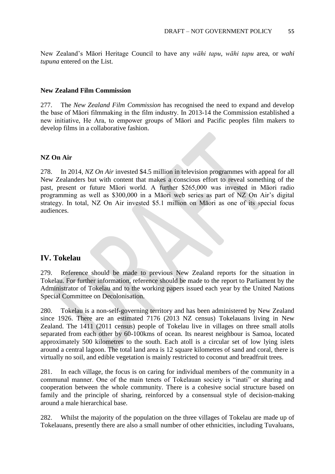New Zealand's Māori Heritage Council to have any *wāhi tapu*, *wāhi tapu* area, or *wahi tupuna* entered on the List.

#### **New Zealand Film Commission**

277. The *New Zealand Film Commission* has recognised the need to expand and develop the base of Māori filmmaking in the film industry. In 2013-14 the Commission established a new initiative, He Ara, to empower groups of Māori and Pacific peoples film makers to develop films in a collaborative fashion.

#### **NZ On Air**

278. In 2014, *NZ On Air* invested \$4.5 million in television programmes with appeal for all New Zealanders but with content that makes a conscious effort to reveal something of the past, present or future Māori world. A further \$265,000 was invested in Māori radio programming as well as \$300,000 in a Māori web series as part of NZ On Air's digital strategy. In total, NZ On Air invested \$5.1 million on Māori as one of its special focus audiences.

### **IV. Tokelau**

279. Reference should be made to previous New Zealand reports for the situation in Tokelau. For further information, reference should be made to the report to Parliament by the Administrator of Tokelau and to the working papers issued each year by the United Nations Special Committee on Decolonisation.

280. Tokelau is a non-self-governing territory and has been administered by New Zealand since 1926. There are an estimated 7176 (2013 NZ census) Tokelauans living in New Zealand. The 1411 (2011 census) people of Tokelau live in villages on three small atolls separated from each other by 60-100kms of ocean. Its nearest neighbour is Samoa, located approximately 500 kilometres to the south. Each atoll is a circular set of low lying islets around a central lagoon. The total land area is 12 square kilometres of sand and coral, there is virtually no soil, and edible vegetation is mainly restricted to coconut and breadfruit trees.

281. In each village, the focus is on caring for individual members of the community in a communal manner. One of the main tenets of Tokelauan society is "inati" or sharing and cooperation between the whole community. There is a cohesive social structure based on family and the principle of sharing, reinforced by a consensual style of decision-making around a male hierarchical base.

282. Whilst the majority of the population on the three villages of Tokelau are made up of Tokelauans, presently there are also a small number of other ethnicities, including Tuvaluans,